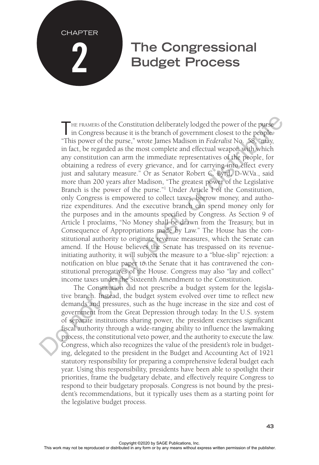#### **CHAPTFR**

# **The Congressional** 2 **Budget Process**

The framers of the Constitution deliberately lodged the power of the purse in Congress because it is the branch of government closest to the people. "This power of the purse," wrote James Madison in *Federalist* No. 58, "may, in fact, be regarded as the most complete and effectual weapon with which any constitution can arm the immediate representatives of the people, for obtaining a redress of every grievance, and for carrying into effect every just and salutary measure." Or as Senator Robert C. Byrd, D-W.Va., said more than 200 years after Madison, "The greatest power of the Legislative Branch is the power of the purse."<sup>1</sup> Under Article I of the Constitution, only Congress is empowered to collect taxes, borrow money, and authorize expenditures. And the executive branch can spend money only for the purposes and in the amounts specified by Congress. As Section 9 of Article I proclaims, "No Money shall be drawn from the Treasury, but in Consequence of Appropriations made by Law." The House has the constitutional authority to originate revenue measures, which the Senate can amend. If the House believes the Senate has trespassed on its revenueinitiating authority, it will subject the measure to a "blue-slip" rejection: a notification on blue paper to the Senate that it has contravened the constitutional prerogatives of the House. Congress may also "lay and collect" income taxes under the Sixteenth Amendment to the Constitution. The reasoness of the Constitution deliberately lodged the power of the pure<br>
"In Congress because it is the branch of government closest to the people<br>
"This power of the pures," worel, almost Madison in *Federalia* No. 5

The Constitution did not prescribe a budget system for the legislative branch. Instead, the budget system evolved over time to reflect new demands and pressures, such as the huge increase in the size and cost of government from the Great Depression through today. In the U.S. system of separate institutions sharing power, the president exercises significant fiscal authority through a wide-ranging ability to influence the lawmaking process, the constitutional veto power, and the authority to execute the law. Congress, which also recognizes the value of the president's role in budgeting, delegated to the president in the Budget and Accounting Act of 1921 statutory responsibility for preparing a comprehensive federal budget each year. Using this responsibility, presidents have been able to spotlight their priorities, frame the budgetary debate, and effectively require Congress to respond to their budgetary proposals. Congress is not bound by the president's recommendations, but it typically uses them as a starting point for the legislative budget process.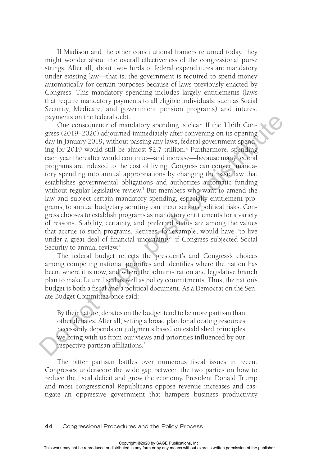If Madison and the other constitutional framers returned today, they might wonder about the overall effectiveness of the congressional purse strings. After all, about two-thirds of federal expenditures are mandatory under existing law—that is, the government is required to spend money automatically for certain purposes because of laws previously enacted by Congress. This mandatory spending includes largely entitlements (laws that require mandatory payments to all eligible individuals, such as Social Security, Medicare, and government pension programs) and interest payments on the federal debt.

One consequence of mandatory spending is clear. If the 116th Congress (2019–2020) adjourned immediately after convening on its opening day in January 2019, without passing any laws, federal government spending for 2019 would still be almost \$2.7 trillion.<sup>2</sup> Furthermore, spending each year thereafter would continue—and increase—because many federal programs are indexed to the cost of living. Congress can convert mandatory spending into annual appropriations by changing the basic law that establishes governmental obligations and authorizes automatic funding without regular legislative review.<sup>3</sup> But members who want to amend the law and subject certain mandatory spending, especially entitlement programs, to annual budgetary scrutiny can incur serious political risks. Congress chooses to establish programs as mandatory entitlements for a variety of reasons. Stability, certainty, and preferred status are among the values that accrue to such programs. Retirees, for example, would have "to live under a great deal of financial uncertainty" if Congress subjected Social Security to annual review.<sup>4</sup> payments on the lecteral debt.<br>
One consequence of mandatory spending is clear. If the 116th Congress (2019–2020) adjourned immediately after convening on its opening<br>
day in January 2019, without passing any laws, foleral

The federal budget reflects the president's and Congress's choices among competing national priorities and identifies where the nation has been, where it is now, and where the administration and legislative branch plan to make future fiscal as well as policy commitments. Thus, the nation's budget is both a fiscal and a political document. As a Democrat on the Senate Budget Committee once said:

By their nature, debates on the budget tend to be more partisan than other debates. After all, setting a broad plan for allocating resources necessarily depends on judgments based on established principles we bring with us from our views and priorities influenced by our respective partisan affiliations.<sup>5</sup>

The bitter partisan battles over numerous fiscal issues in recent Congresses underscore the wide gap between the two parties on how to reduce the fiscal deficit and grow the economy. President Donald Trump and most congressional Republicans oppose revenue increases and castigate an oppressive government that hampers business productivity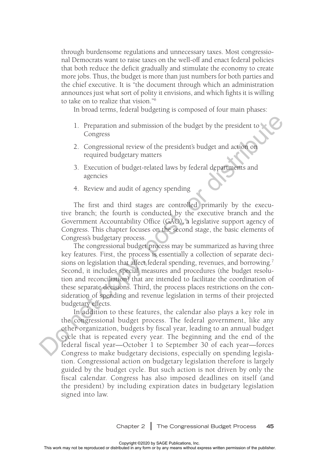through burdensome regulations and unnecessary taxes. Most congressional Democrats want to raise taxes on the well-off and enact federal policies that both reduce the deficit gradually and stimulate the economy to create more jobs. Thus, the budget is more than just numbers for both parties and the chief executive. It is "the document through which an administration announces just what sort of polity it envisions, and which fights it is willing to take on to realize that vision."6

In broad terms, federal budgeting is composed of four main phases:

- 1. Preparation and submission of the budget by the president to Congress
- 2. Congressional review of the president's budget and action on required budgetary matters
- 3. Execution of budget-related laws by federal departments and agencies
- 4. Review and audit of agency spending

The first and third stages are controlled primarily by the executive branch; the fourth is conducted by the executive branch and the Government Accountability Office (GAO), a legislative support agency of Congress. This chapter focuses on the second stage, the basic elements of Congress's budgetary process.

The congressional budget process may be summarized as having three key features. First, the process is essentially a collection of separate decisions on legislation that affect federal spending, revenues, and borrowing.<sup>7</sup> Second, it includes special measures and procedures (the budget resolution and reconciliation) that are intended to facilitate the coordination of these separate decisions. Third, the process places restrictions on the consideration of spending and revenue legislation in terms of their projected budgetary effects. 1. Preparation and submission of the budget by the president to<br>
Congress<br>
2. Congressional review of the presidents budget and action on<br>
required budgetary matters<br>
3. Execution of budget-related laws by federal departm

In addition to these features, the calendar also plays a key role in the congressional budget process. The federal government, like any other organization, budgets by fiscal year, leading to an annual budget cycle that is repeated every year. The beginning and the end of the federal fiscal year—October 1 to September 30 of each year—forces Congress to make budgetary decisions, especially on spending legislation. Congressional action on budgetary legislation therefore is largely guided by the budget cycle. But such action is not driven by only the fiscal calendar. Congress has also imposed deadlines on itself (and the president) by including expiration dates in budgetary legislation signed into law.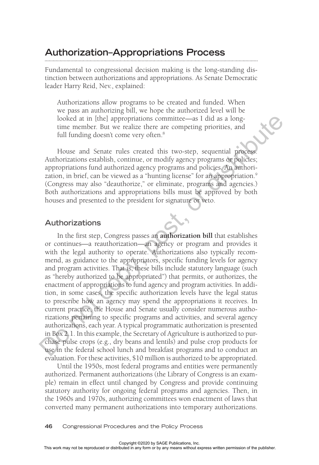## **Authorization–Appropriations Process**

Fundamental to congressional decision making is the long-standing distinction between authorizations and appropriations. As Senate Democratic leader Harry Reid, Nev., explained:

Authorizations allow programs to be created and funded. When we pass an authorizing bill, we hope the authorized level will be looked at in [the] appropriations committee—as I did as a longtime member. But we realize there are competing priorities, and full funding doesn't come very often.<sup>8</sup>

House and Senate rules created this two-step, sequential process. Authorizations establish, continue, or modify agency programs or policies; appropriations fund authorized agency programs and policies. An authorization, in brief, can be viewed as a "hunting license" for an appropriation.<sup>9</sup> (Congress may also "deauthorize," or eliminate, programs and agencies.) Both authorizations and appropriations bills must be approved by both houses and presented to the president for signature or veto.

## **Authorizations**

In the first step, Congress passes an **authorization bill** that establishes or continues—a reauthorization—an agency or program and provides it with the legal authority to operate. Authorizations also typically recommend, as guidance to the appropriators, specific funding levels for agency and program activities. That is, these bills include statutory language (such as "hereby authorized to be appropriated") that permits, or authorizes, the enactment of appropriations to fund agency and program activities. In addition, in some cases, the specific authorization levels have the legal status to prescribe how an agency may spend the appropriations it receives. In current practice, the House and Senate usually consider numerous authorizations pertaining to specific programs and activities, and several agency authorizations, each year. A typical programmatic authorization is presented in Box 2.1. In this example, the Secretary of Agriculture is authorized to purchase pulse crops (e.g., dry beans and lentils) and pulse crop products for use in the federal school lunch and breakfast programs and to conduct an evaluation. For these activities, \$10 million is authorized to be appropriated. looked at in [the] appropriations committee—as 1 did as a long-<br>time member. But we realize there are competing priorities, and<br>full funding doesn't cone very often.<sup>8</sup><br>Muhorizations establish, continue, or modify agency p

Until the 1950s, most federal programs and entities were permanently authorized. Permanent authorizations (the Library of Congress is an example) remain in effect until changed by Congress and provide continuing statutory authority for ongoing federal programs and agencies. Then, in the 1960s and 1970s, authorizing committees won enactment of laws that converted many permanent authorizations into temporary authorizations.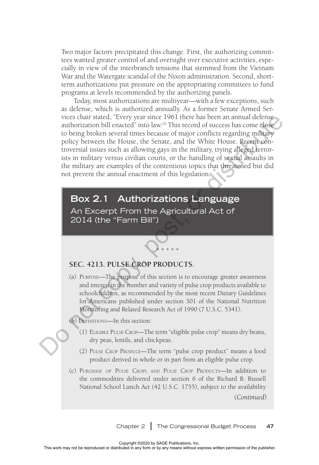Two major factors precipitated this change. First, the authorizing committees wanted greater control of and oversight over executive activities, especially in view of the interbranch tensions that stemmed from the Vietnam War and the Watergate scandal of the Nixon administration. Second, shortterm authorizations put pressure on the appropriating committees to fund programs at levels recommended by the authorizing panels.

Today, most authorizations are multiyear—with a few exceptions, such as defense, which is authorized annually. As a former Senate Armed Services chair stated, "Every year since 1961 there has been an annual defense authorization bill enacted" into law.<sup>10</sup> This record of success has come close to being broken several times because of major conflicts regarding military policy between the House, the Senate, and the White House. Recent controversial issues such as allowing gays in the military, trying alleged terrorists in military versus civilian courts, or the handling of sexual assaults in the military are examples of the contentious topics that threatened but did not prevent the annual enactment of this legislation. vices chair stated, "Evey year since 1960 there has been an annual declease<br>
authorization bill enacted" into law.<sup>19</sup> This record of success has come describute by the controllar policy between the House, the Senate, and

# **Box 2.1 Authorizations Language**

An Excerpt From the Agricultural Act of 2014 (the "Farm Bill")

## **SEC. 4213. PULSE CROP PRODUCTS.**

(a) Purpose—The purpose of this section is to encourage greater awareness and interest in the number and variety of pulse crop products available to schoolchildren, as recommended by the most recent Dietary Guidelines for Americans published under section 301 of the National Nutrition Monitoring and Related Research Act of 1990 (7 U.S.C. 5341).

\* \* \* \* \*

(b) Definitions—In this section:

- (1) Eligible Pulse Crop—The term "eligible pulse crop" means dry beans, dry peas, lentils, and chickpeas.
- (2) Pulse Crop Product—The term "pulse crop product" means a food product derived in whole or in part from an eligible pulse crop.
- (c) Purchase of Pulse Crops and Pulse Crop Products—In addition to the commodities delivered under section 6 of the Richard B. Russell National School Lunch Act (42 U.S.C. 1755), subject to the availability (*Continued*)

Chapter 2 **|** The Congressional Budget Process **<sup>47</sup>**

Copyright ©2020 by SAGE Publications, Inc.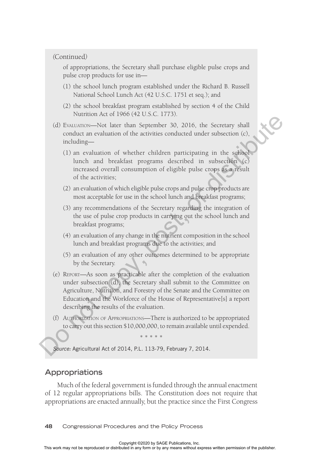#### *(*Continued*)*

of appropriations, the Secretary shall purchase eligible pulse crops and pulse crop products for use in—

- (1) the school lunch program established under the Richard B. Russell National School Lunch Act (42 U.S.C. 1751 et seq.); and
- (2) the school breakfast program established by section 4 of the Child Nutrition Act of 1966 (42 U.S.C. 1773).
- (d) Evaluation—Not later than September 30, 2016, the Secretary shall conduct an evaluation of the activities conducted under subsection (c), including—
	- (1) an evaluation of whether children participating in the school lunch and breakfast programs described in subsection (c) increased overall consumption of eligible pulse crops as a result of the activities;
	- (2) an evaluation of which eligible pulse crops and pulse crop products are most acceptable for use in the school lunch and breakfast programs;
	- (3) any recommendations of the Secretary regarding the integration of the use of pulse crop products in carrying out the school lunch and breakfast programs;
	- (4) an evaluation of any change in the nutrient composition in the school lunch and breakfast programs due to the activities; and
	- (5) an evaluation of any other outcomes determined to be appropriate by the Secretary.
- (e) Report—As soon as practicable after the completion of the evaluation under subsection (d), the Secretary shall submit to the Committee on Agriculture, Nutrition, and Forestry of the Senate and the Committee on Education and the Workforce of the House of Representative[s] a report describing the results of the evaluation. CONTINUON THE CONTROL CONTROL CONTROL CONTROL CONTROL CONTROL CONTROL CONTROL CONTROL CONTROL (1) an evaluation of the activities:<br>
(1) an evaluation of whether children participating in the school lunch and breakfast pro
	- (f) Authorization of Appropriations—There is authorized to be appropriated to carry out this section \$10,000,000, to remain available until expended.

```
* * * * *
```
*Source:* Agricultural Act of 2014, P.L. 113-79, February 7, 2014.

## **Appropriations**

Much of the federal government is funded through the annual enactment of 12 regular appropriations bills. The Constitution does not require that appropriations are enacted annually, but the practice since the First Congress

**48** Congressional Procedures and the Policy Process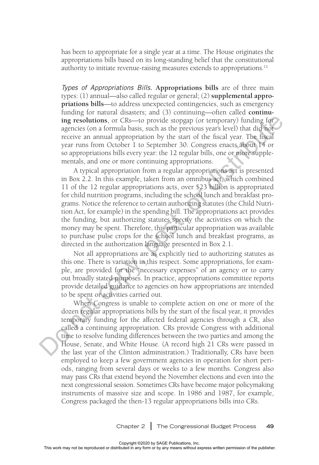has been to appropriate for a single year at a time. The House originates the appropriations bills based on its long-standing belief that the constitutional authority to initiate revenue-raising measures extends to appropriations.<sup>11</sup>

*Types of Appropriations Bills.* **Appropriations bills** are of three main types: (1) annual—also called regular or general; (2) **supplemental appropriations bills**—to address unexpected contingencies, such as emergency funding for natural disasters; and (3) continuing—often called **continuing resolutions**, or CRs—to provide stopgap (or temporary) funding for agencies (on a formula basis, such as the previous year's level) that did not receive an annual appropriation by the start of the fiscal year. The fiscal year runs from October 1 to September 30. Congress enacts about 14 or so appropriations bills every year: the 12 regular bills, one or more supplementals, and one or more continuing appropriations.

A typical appropriation from a regular appropriations act is presented in Box 2.2. In this example, taken from an omnibus act, which combined 11 of the 12 regular appropriations acts, over \$23 billion is appropriated for child nutrition programs, including the school lunch and breakfast programs. Notice the reference to certain authorizing statutes (the Child Nutrition Act, for example) in the spending bill. The appropriations act provides the funding, but authorizing statutes specify the activities on which the money may be spent. Therefore, this particular appropriation was available to purchase pulse crops for the school lunch and breakfast programs, as directed in the authorization language presented in Box 2.1. ing resolutions, or CRs—to provide stopgap (or temporary) funding for agencies (on a formula basis; such as the previous years level) that did not receive an annual appropriation by the start of the fiscal year. The fisca

Not all appropriations are as explicitly tied to authorizing statutes as this one. There is variation in this respect. Some appropriations, for example, are provided for the "necessary expenses" of an agency or to carry out broadly stated purposes. In practice, appropriations committee reports provide detailed guidance to agencies on how appropriations are intended to be spent or activities carried out.

When Congress is unable to complete action on one or more of the dozen regular appropriations bills by the start of the fiscal year, it provides temporary funding for the affected federal agencies through a CR, also called a continuing appropriation. CRs provide Congress with additional time to resolve funding differences between the two parties and among the House, Senate, and White House. (A record high 21 CRs were passed in the last year of the Clinton administration.) Traditionally, CRs have been employed to keep a few government agencies in operation for short periods, ranging from several days or weeks to a few months. Congress also may pass CRs that extend beyond the November elections and even into the next congressional session. Sometimes CRs have become major policymaking instruments of massive size and scope. In 1986 and 1987, for example, Congress packaged the then-13 regular appropriations bills into CRs.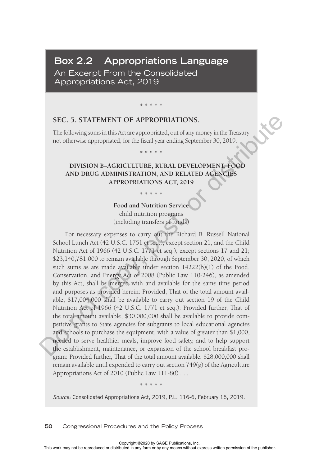# **Box 2.2 Appropriations Language**

An Excerpt From the Consolidated Appropriations Act, 2019

#### **SEC. 5. STATEMENT OF APPROPRIATIONS.**

The following sums in this Act are appropriated, out of any money in the Treasury not otherwise appropriated, for the fiscal year ending September 30, 2019.

\* \* \* \* \*

\* \* \* \* \*

#### **DIVISION B–AGRICULTURE, RURAL DEVELOPMENT, FOOD AND DRUG ADMINISTRATION, AND RELATED AGENCIES APPROPRIATIONS ACT, 2019**

**Food and Nutrition Service** child nutrition programs (including transfers of funds)

\* \* \* \* \*

For necessary expenses to carry out the Richard B. Russell National School Lunch Act (42 U.S.C. 1751 et seq.), except section 21, and the Child Nutrition Act of 1966 (42 U.S.C. 1771 et seq.), except sections 17 and 21; \$23,140,781,000 to remain available through September 30, 2020, of which such sums as are made available under section 14222(b)(1) of the Food, Conservation, and Energy Act of 2008 (Public Law 110-246), as amended by this Act, shall be merged with and available for the same time period and purposes as provided herein: Provided, That of the total amount available, \$17,004,000 shall be available to carry out section 19 of the Child Nutrition Act of 1966 (42 U.S.C. 1771 et seq.): Provided further, That of the total amount available, \$30,000,000 shall be available to provide competitive grants to State agencies for subgrants to local educational agencies and schools to purchase the equipment, with a value of greater than \$1,000, needed to serve healthier meals, improve food safety, and to help support the establishment, maintenance, or expansion of the school breakfast program: Provided further, That of the total amount available, \$28,000,000 shall remain available until expended to carry out section 749(g) of the Agriculture Appropriations Act of 2010 (Public Law 111-80) . . . SEC. 5. STATEMENT OF APPROPRIATIONS.<br>
The following sunns in this Act are appropriated, out of any money in the Teasury<br>
not otherwise appropriated, for the fiscal year ending September 30, 2019.<br>
ND DRUG ADMINISTRATION,

\* \* \* \* \*

*Source:* Consolidated Appropriations Act, 2019, P.L. 116-6, February 15, 2019.

**50** Congressional Procedures and the Policy Process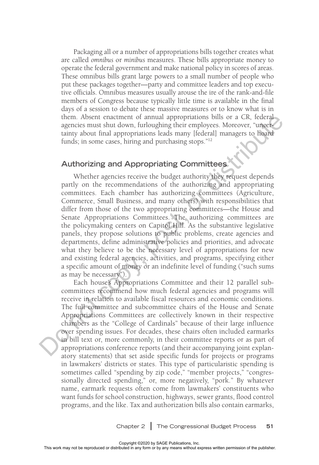Packaging all or a number of appropriations bills together creates what are called *omnibus* or *minibus* measures. These bills appropriate money to operate the federal government and make national policy in scores of areas. These omnibus bills grant large powers to a small number of people who put these packages together—party and committee leaders and top executive officials. Omnibus measures usually arouse the ire of the rank-and-file members of Congress because typically little time is available in the final days of a session to debate these massive measures or to know what is in them. Absent enactment of annual appropriations bills or a CR, federal agencies must shut down, furloughing their employees. Moreover, "uncertainty about final appropriations leads many [federal] managers to hoard funds; in some cases, hiring and purchasing stops."<sup>12</sup>

## **Authorizing and Appropriating Committees**

Whether agencies receive the budget authority they request depends partly on the recommendations of the authorizing and appropriating committees. Each chamber has authorizing committees (Agriculture, Commerce, Small Business, and many others) with responsibilities that differ from those of the two appropriating committees—the House and Senate Appropriations Committees. The authorizing committees are the policymaking centers on Capitol Hill. As the substantive legislative panels, they propose solutions to public problems, create agencies and departments, define administrative policies and priorities, and advocate what they believe to be the necessary level of appropriations for new and existing federal agencies, activities, and programs, specifying either a specific amount of money or an indefinite level of funding ("such sums as may be necessary"). them. Absent enactment of annual appropriations bills or a CR, federal<br>agencies must shut down, furloughing their employees. Moreover, "uneer<br>tainty about final appropriations leads many [federal] managers to heard<br>funds;

Each house's Appropriations Committee and their 12 parallel subcommittees recommend how much federal agencies and programs will receive in relation to available fiscal resources and economic conditions. The full committee and subcommittee chairs of the House and Senate Appropriations Committees are collectively known in their respective chambers as the "College of Cardinals" because of their large influence over spending issues. For decades, these chairs often included earmarks in bill text or, more commonly, in their committee reports or as part of appropriations conference reports (and their accompanying joint explanatory statements) that set aside specific funds for projects or programs in lawmakers' districts or states. This type of particularistic spending is sometimes called "spending by zip code," "member projects," "congressionally directed spending," or, more negatively, "pork." By whatever name, earmark requests often come from lawmakers' constituents who want funds for school construction, highways, sewer grants, flood control programs, and the like. Tax and authorization bills also contain earmarks,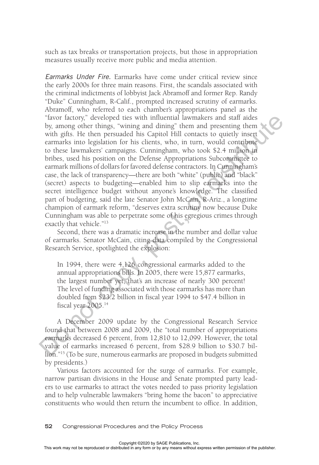such as tax breaks or transportation projects, but those in appropriation measures usually receive more public and media attention.

*Earmarks Under Fire.* Earmarks have come under critical review since the early 2000s for three main reasons. First, the scandals associated with the criminal indictments of lobbyist Jack Abramoff and former Rep. Randy "Duke" Cunningham, R-Calif., prompted increased scrutiny of earmarks. Abramoff, who referred to each chamber's appropriations panel as the "favor factory," developed ties with influential lawmakers and staff aides by, among other things, "wining and dining" them and presenting them with gifts. He then persuaded his Capitol Hill contacts to quietly insert earmarks into legislation for his clients, who, in turn, would contribute to these lawmakers' campaigns. Cunningham, who took \$2.4 million in bribes, used his position on the Defense Appropriations Subcommittee to earmark millions of dollars for favored defense contractors. In Cunningham's case, the lack of transparency—there are both "white" (public) and "black" (secret) aspects to budgeting—enabled him to slip earmarks into the secret intelligence budget without anyone's knowledge. The classified part of budgeting, said the late Senator John McCain, R-Ariz., a longtime champion of earmark reform, "deserves extra scrutiny now because Duke Cunningham was able to perpetrate some of his egregious crimes through exactly that vehicle."13 "favor factory," developed ties with influential law<br>makers and staff aides which propare the person other things, "winng and dining" them and persenting them<br>with gifts. He then persuaded his Capitol Hill contacts to qui

Second, there was a dramatic increase in the number and dollar value of earmarks. Senator McCain, citing data compiled by the Congressional Research Service, spotlighted the explosion:

In 1994, there were 4,126 congressional earmarks added to the annual appropriations bills. In 2005, there were 15,877 earmarks, the largest number yet, that's an increase of nearly 300 percent! The level of funding associated with those earmarks has more than doubled from \$23.2 billion in fiscal year 1994 to \$47.4 billion in fiscal year 2005.<sup>14</sup>

A December 2009 update by the Congressional Research Service found that between 2008 and 2009, the "total number of appropriations earmarks decreased 6 percent, from 12,810 to 12,099. However, the total value of earmarks increased 6 percent, from \$28.9 billion to \$30.7 billion."15 (To be sure, numerous earmarks are proposed in budgets submitted by presidents.)

Various factors accounted for the surge of earmarks. For example, narrow partisan divisions in the House and Senate prompted party leaders to use earmarks to attract the votes needed to pass priority legislation and to help vulnerable lawmakers "bring home the bacon" to appreciative constituents who would then return the incumbent to office. In addition,

**52** Congressional Procedures and the Policy Process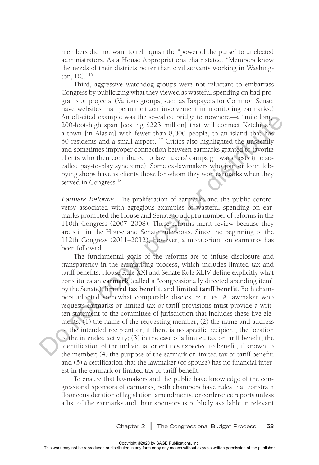members did not want to relinquish the "power of the purse" to unelected administrators. As a House Appropriations chair stated, "Members know the needs of their districts better than civil servants working in Washington,  $DC.^{"16}$ 

Third, aggressive watchdog groups were not reluctant to embarrass Congress by publicizing what they viewed as wasteful spending on bad programs or projects. (Various groups, such as Taxpayers for Common Sense, have websites that permit citizen involvement in monitoring earmarks.) An oft-cited example was the so-called bridge to nowhere—a "mile long, 200-foot-high span [costing \$223 million] that will connect Ketchikan, a town [in Alaska] with fewer than 8,000 people, to an island that has 50 residents and a small airport."<sup>17</sup> Critics also highlighted the unseemly and sometimes improper connection between earmarks granted to favorite clients who then contributed to lawmakers' campaign war chests (the socalled pay-to-play syndrome). Some ex-lawmakers who join or form lobbying shops have as clients those for whom they won earmarks when they served in Congress.<sup>18</sup>

*Earmark Reforms.* The proliferation of earmarks and the public controversy associated with egregious examples of wasteful spending on earmarks prompted the House and Senate to adopt a number of reforms in the 110th Congress (2007–2008). These reforms merit review because they are still in the House and Senate rulebooks. Since the beginning of the 112th Congress (2011–2012), however, a moratorium on earmarks has been followed.

The fundamental goals of the reforms are to infuse disclosure and transparency in the earmarking process, which includes limited tax and tariff benefits. House Rule XXI and Senate Rule XLIV define explicitly what constitutes an **earmark** (called a "congressionally directed spending item" by the Senate), **limited tax benefit**, and **limited tariff benefit**. Both chambers adopted somewhat comparable disclosure rules. A lawmaker who requests earmarks or limited tax or tariff provisions must provide a written statement to the committee of jurisdiction that includes these five elements: (1) the name of the requesting member; (2) the name and address of the intended recipient or, if there is no specific recipient, the location of the intended activity; (3) in the case of a limited tax or tariff benefit, the identification of the individual or entities expected to benefit, if known to the member; (4) the purpose of the earmark or limited tax or tariff benefit; and (5) a certification that the lawmaker (or spouse) has no financial interest in the earmark or limited tax or tariff benefit. An oficial caracteristic sus the so-called bridge to now<br>here—at "mital long-<br>200-foot-high span [costing \$223 million] that will connect Ketchikaa<br>
a town [in Alaska] with fewer than 8,000 people, to an island that has<br>

To ensure that lawmakers and the public have knowledge of the congressional sponsors of earmarks, both chambers have rules that constrain floor consideration of legislation, amendments, or conference reports unless a list of the earmarks and their sponsors is publicly available in relevant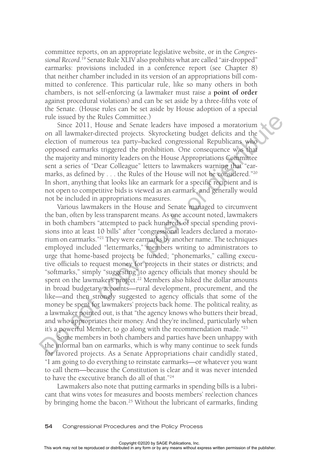committee reports, on an appropriate legislative website, or in the *Congressional Record*. 19 Senate Rule XLIV also prohibits what are called "air-dropped" earmarks: provisions included in a conference report (see Chapter 8) that neither chamber included in its version of an appropriations bill committed to conference. This particular rule, like so many others in both chambers, is not self-enforcing (a lawmaker must raise a **point of order** against procedural violations) and can be set aside by a three-fifths vote of the Senate. (House rules can be set aside by House adoption of a special rule issued by the Rules Committee.)

Since 2011, House and Senate leaders have imposed a moratorium on all lawmaker-directed projects. Skyrocketing budget deficits and the election of numerous tea party–backed congressional Republicans who opposed earmarks triggered the prohibition. One consequence was that the majority and minority leaders on the House Appropriations Committee sent a series of "Dear Colleague" letters to lawmakers warning that "earmarks, as defined by . . . the Rules of the House will not be considered."20 In short, anything that looks like an earmark for a specific recipient and is not open to competitive bids is viewed as an earmark, and generally would not be included in appropriations measures.

Various lawmakers in the House and Senate managed to circumvent the ban, often by less transparent means. As one account noted, lawmakers in both chambers "attempted to pack hundreds of special spending provisions into at least 10 bills" after "congressional leaders declared a moratorium on earmarks."21 They were earmarks by another name. The techniques employed included "lettermarks," members writing to administrators to urge that home-based projects be funded; "phonemarks," calling executive officials to request money for projects in their states or districts; and "softmarks," simply "suggesting" to agency officials that money should be spent on the lawmaker's project.<sup>22</sup> Members also hiked the dollar amounts in broad budgetary accounts—rural development, procurement, and the like—and then strongly suggested to agency officials that some of the money be spent for lawmakers' projects back home. The political reality, as a lawmaker pointed out, is that "the agency knows who butters their bread, and who appropriates their money. And they're inclined, particularly when it's a powerful Member, to go along with the recommendation made."<sup>23</sup> rule issued by the Rules Committee.)<br>
Since 2011, House and Senate leaders have imposed a moratorium<br>
on all law<br>maker-directed projects. Skyrocketing budget deficits and the<br>
election of numerous tea party-backed compres

Some members in both chambers and parties have been unhappy with the informal ban on earmarks, which is why many continue to seek funds for favored projects. As a Senate Appropriations chair candidly stated, "I am going to do everything to reinstate earmarks—or whatever you want to call them—because the Constitution is clear and it was never intended to have the executive branch do all of that."24

Lawmakers also note that putting earmarks in spending bills is a lubricant that wins votes for measures and boosts members' reelection chances by bringing home the bacon.<sup>25</sup> Without the lubricant of earmarks, finding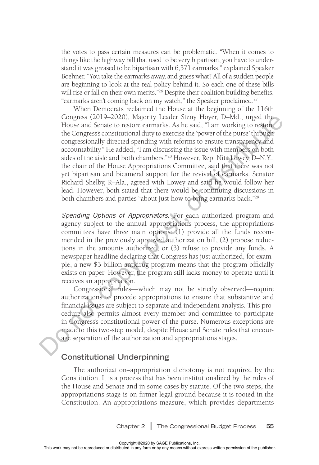the votes to pass certain measures can be problematic. "When it comes to things like the highway bill that used to be very bipartisan, you have to understand it was greased to be bipartisan with 6,371 earmarks," explained Speaker Boehner. "You take the earmarks away, and guess what? All of a sudden people are beginning to look at the real policy behind it. So each one of these bills will rise or fall on their own merits."<sup>26</sup> Despite their coalition building benefits, "earmarks aren't coming back on my watch," the Speaker proclaimed.<sup>27</sup>

When Democrats reclaimed the House at the beginning of the 116th Congress (2019–2020), Majority Leader Steny Hoyer, D–Md., urged the House and Senate to restore earmarks. As he said, "I am working to restore the Congress's constitutional duty to exercise the 'power of the purse' through congressionally directed spending with reforms to ensure transparency and accountability." He added, "I am discussing the issue with members on both sides of the aisle and both chambers."28 However, Rep. Nita Lowey, D–N.Y., the chair of the House Appropriations Committee, said that there was not yet bipartisan and bicameral support for the revival of earmarks. Senator Richard Shelby, R–Ala., agreed with Lowey and said he would follow her lead. However, both stated that there would be continuing discussions in both chambers and parties "about just how to bring earmarks back."29 Congers (2010–2020), Majority Leader Siery Hower, D-Md., urged the<br>Congression Schemator Sier at marks. As he said, "I am working to resigne<br>the Congressions: tuntional duty to exercise the 'power of the purse' throught<br>c

*Spending Options of Appropriators.* For each authorized program and agency subject to the annual appropriations process, the appropriations committees have three main options: (1) provide all the funds recommended in the previously approved authorization bill, (2) propose reductions in the amounts authorized, or (3) refuse to provide any funds. A newspaper headline declaring that Congress has just authorized, for example, a new \$3 billion antidrug program means that the program officially exists on paper. However, the program still lacks money to operate until it receives an appropriation.

Congressional rules—which may not be strictly observed—require authorizations to precede appropriations to ensure that substantive and financial issues are subject to separate and independent analysis. This procedure also permits almost every member and committee to participate in Congress's constitutional power of the purse. Numerous exceptions are made to this two-step model, despite House and Senate rules that encourage separation of the authorization and appropriations stages.

## **Constitutional Underpinning**

The authorization–appropriation dichotomy is not required by the Constitution. It is a process that has been institutionalized by the rules of the House and Senate and in some cases by statute. Of the two steps, the appropriations stage is on firmer legal ground because it is rooted in the Constitution. An appropriations measure, which provides departments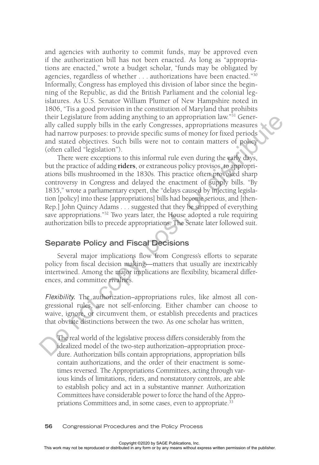and agencies with authority to commit funds, may be approved even if the authorization bill has not been enacted. As long as "appropriations are enacted," wrote a budget scholar, "funds may be obligated by agencies, regardless of whether . . . authorizations have been enacted."30 Informally, Congress has employed this division of labor since the beginning of the Republic, as did the British Parliament and the colonial legislatures. As U.S. Senator William Plumer of New Hampshire noted in 1806, "Tis a good provision in the constitution of Maryland that prohibits their Legislature from adding anything to an appropriation law."31 Generally called supply bills in the early Congresses, appropriations measures had narrow purposes: to provide specific sums of money for fixed periods and stated objectives. Such bills were not to contain matters of policy (often called "legislation").

There were exceptions to this informal rule even during the early days, but the practice of adding **riders**, or extraneous policy provisos, to appropriations bills mushroomed in the 1830s. This practice often provoked sharp controversy in Congress and delayed the enactment of supply bills. "By 1835," wrote a parliamentary expert, the "delays caused by injecting legislation [policy] into these [appropriations] bills had become serious, and [then-Rep.] John Quincy Adams . . . suggested that they be stripped of everything save appropriations."<sup>32</sup> Two years later, the House adopted a rule requiring authorization bills to precede appropriations. The Senate later followed suit. their Legislature from adding anything to an appropriation law.<sup>921</sup> Generation<br>and parameters and narrow purposes: to provide specific sums of money for fixed periods<br>and narrow purposes: to provide specific sums of money

## **Separate Policy and Fiscal Decisions**

Several major implications flow from Congress's efforts to separate policy from fiscal decision making—matters that usually are inextricably intertwined. Among the major implications are flexibility, bicameral differences, and committee rivalries.

*Flexibility.* The authorization–appropriations rules, like almost all congressional rules, are not self-enforcing. Either chamber can choose to waive, ignore, or circumvent them, or establish precedents and practices that obviate distinctions between the two. As one scholar has written,

The real world of the legislative process differs considerably from the idealized model of the two-step authorization–appropriation procedure. Authorization bills contain appropriations, appropriation bills contain authorizations, and the order of their enactment is sometimes reversed. The Appropriations Committees, acting through various kinds of limitations, riders, and nonstatutory controls, are able to establish policy and act in a substantive manner. Authorization Committees have considerable power to force the hand of the Appropriations Committees and, in some cases, even to appropriate.<sup>33</sup>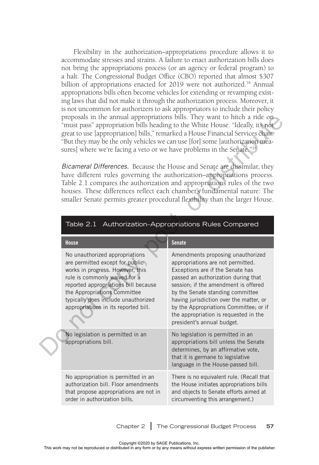Flexibility in the authorization–appropriations procedure allows it to accommodate stresses and strains. A failure to enact authorization bills does not bring the appropriations process (or an agency or federal program) to a halt. The Congressional Budget Office (CBO) reported that almost \$307 billion of appropriations enacted for 2019 were not authorized.<sup>34</sup> Annual appropriations bills often become vehicles for extending or revamping existing laws that did not make it through the authorization process. Moreover, it is not uncommon for authorizers to ask appropriators to include their policy proposals in the annual appropriations bills. They want to hitch a ride on "must pass" appropriation bills heading to the White House. "Ideally, it's not great to use [appropriation] bills," remarked a House Financial Services chair. "But they may be the only vehicles we can use [for] some [authorization measures] where we're facing a veto or we have problems in the Senate.<sup>"35</sup>

| proposals in the annual appropriations bills. They want to hitch a ride on<br>"must pass" appropriation bills heading to the White House. "Ideally, it's not<br>great to use [appropriation] bills," remarked a House Financial Services chair."<br>"But they may be the only vehicles we can use [for] some [authorization mea-<br>sures] where we're facing a veto or we have problems in the Senate."35<br>Bicameral Differences. Because the House and Senate are dissimilar, they<br>have different rules governing the authorization-appropriations process.<br>Table 2.1 compares the authorization and appropriations rules of the two<br>houses. These differences reflect each chamber's fundamental nature: The<br>smaller Senate permits greater procedural flexibility than the larger House.<br>Table 2.1 Authorization-Appropriations Rules Compared |                                                                                                                                                                                                                                                                                                                                                                                           |
|---------------------------------------------------------------------------------------------------------------------------------------------------------------------------------------------------------------------------------------------------------------------------------------------------------------------------------------------------------------------------------------------------------------------------------------------------------------------------------------------------------------------------------------------------------------------------------------------------------------------------------------------------------------------------------------------------------------------------------------------------------------------------------------------------------------------------------------------------------------------|-------------------------------------------------------------------------------------------------------------------------------------------------------------------------------------------------------------------------------------------------------------------------------------------------------------------------------------------------------------------------------------------|
| <b>House</b>                                                                                                                                                                                                                                                                                                                                                                                                                                                                                                                                                                                                                                                                                                                                                                                                                                                        | <b>Senate</b>                                                                                                                                                                                                                                                                                                                                                                             |
| No unauthorized appropriations<br>are permitted except for public<br>works in progress. However, this<br>rule is commonly waived for a<br>reported appropriations bill because<br>the Appropriations Committee<br>typically does include unauthorized<br>appropriations in its reported bill.                                                                                                                                                                                                                                                                                                                                                                                                                                                                                                                                                                       | Amendments proposing unauthorized<br>appropriations are not permitted.<br>Exceptions are if the Senate has<br>passed an authorization during that<br>session; if the amendment is offered<br>by the Senate standing committee<br>having jurisdiction over the matter, or<br>by the Appropriations Committee; or if<br>the appropriation is requested in the<br>president's annual budget. |
| No legislation is permitted in an<br>appropriations bill.                                                                                                                                                                                                                                                                                                                                                                                                                                                                                                                                                                                                                                                                                                                                                                                                           | No legislation is permitted in an<br>appropriations bill unless the Senate<br>determines, by an affirmative vote,<br>that it is germane to legislative<br>language in the House-passed bill.                                                                                                                                                                                              |
| No appropriation is permitted in an<br>authorization bill. Floor amendments<br>that propose appropriations are not in<br>order in authorization bills.                                                                                                                                                                                                                                                                                                                                                                                                                                                                                                                                                                                                                                                                                                              | There is no equivalent rule. (Recall that<br>the House initiates appropriations bills<br>and objects to Senate efforts aimed at<br>circumventing this arrangement.)                                                                                                                                                                                                                       |

#### Table 2.1 Authorization–Appropriations Rules Compared

Chapter 2 **|** The Congressional Budget Process **<sup>57</sup>**

Copyright ©2020 by SAGE Publications, Inc.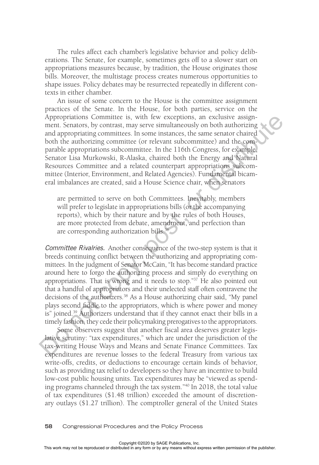The rules affect each chamber's legislative behavior and policy deliberations. The Senate, for example, sometimes gets off to a slower start on appropriations measures because, by tradition, the House originates those bills. Moreover, the multistage process creates numerous opportunities to shape issues. Policy debates may be resurrected repeatedly in different contexts in either chamber.

An issue of some concern to the House is the committee assignment practices of the Senate. In the House, for both parties, service on the Appropriations Committee is, with few exceptions, an exclusive assignment. Senators, by contrast, may serve simultaneously on both authorizing and appropriating committees. In some instances, the same senator chaired both the authorizing committee (or relevant subcommittee) and the comparable appropriations subcommittee. In the 116th Congress, for example, Senator Lisa Murkowski, R-Alaska, chaired both the Energy and Natural Resources Committee and a related counterpart appropriations subcommittee (Interior, Environment, and Related Agencies). Fundamental bicameral imbalances are created, said a House Science chair, when senators

are permitted to serve on both Committees. Inevitably, members will prefer to legislate in appropriations bills (or the accompanying reports), which by their nature and by the rules of both Houses, are more protected from debate, amendment, and perfection than are corresponding authorization bills.36

*Committee Rivalries.* Another consequence of the two-step system is that it breeds continuing conflict between the authorizing and appropriating committees. In the judgment of Senator McCain, "It has become standard practice around here to forgo the authorizing process and simply do everything on appropriations. That is wrong and it needs to stop."37 He also pointed out that a handful of appropriators and their unelected staff often contravene the decisions of the authorizers.<sup>38</sup> As a House authorizing chair said, "My panel plays second fiddle to the appropriators, which is where power and money is" joined.39 Authorizers understand that if they cannot enact their bills in a timely fashion, they cede their policymaking prerogatives to the appropriators. Appropriations Committee is, with lev execptions, an exclusive assign-<br>particular Senators, by contrast, may serve simultaneously on both authorizing<br>and appropriating committees. In some instances, the same senator chair

Some observers suggest that another fiscal area deserves greater legislative scrutiny: "tax expenditures," which are under the jurisdiction of the tax-writing House Ways and Means and Senate Finance Committees. Tax expenditures are revenue losses to the federal Treasury from various tax write-offs, credits, or deductions to encourage certain kinds of behavior, such as providing tax relief to developers so they have an incentive to build low-cost public housing units. Tax expenditures may be "viewed as spending programs channeled through the tax system."40 In 2018, the total value of tax expenditures (\$1.48 trillion) exceeded the amount of discretionary outlays (\$1.27 trillion). The comptroller general of the United States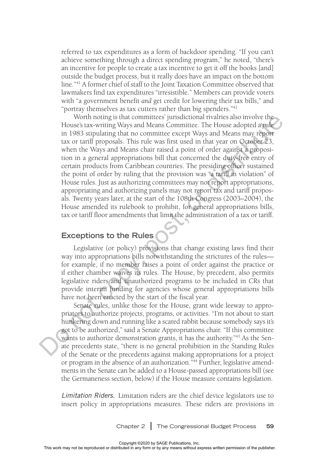referred to tax expenditures as a form of backdoor spending. "If you can't achieve something through a direct spending program," he noted, "there's an incentive for people to create a tax incentive to get it off the books [and] outside the budget process, but it really does have an impact on the bottom line."41 A former chief of staff to the Joint Taxation Committee observed that lawmakers find tax expenditures "irresistible." Members can provide voters with "a government benefit *and* get credit for lowering their tax bills," and "portray themselves as tax cutters rather than big spenders."42

Worth noting is that committees' jurisdictional rivalries also involve the House's tax-writing Ways and Means Committee. The House adopted a rule in 1983 stipulating that no committee except Ways and Means may report tax or tariff proposals. This rule was first used in that year on October 23, when the Ways and Means chair raised a point of order against a proposition in a general appropriations bill that concerned the duty-free entry of certain products from Caribbean countries. The presiding officer sustained the point of order by ruling that the provision was "a tariff in violation" of House rules. Just as authorizing committees may not report appropriations, appropriating and authorizing panels may not report tax and tariff proposals. Twenty years later, at the start of the 108th Congress (2003–2004), the House amended its rulebook to prohibit, for general appropriations bills, tax or tariff floor amendments that limit the administration of a tax or tariff. Worch noting is that committees' girstalictional trivatires also involve the<br>system House star-writing Ways and Means Committee. The House adopted a rule<br>in 1983 stipulating that no committee except Ways and Means may repo

## **Exceptions to the Rules**

Legislative (or policy) provisions that change existing laws find their way into appropriations bills notwithstanding the strictures of the rules for example, if no member raises a point of order against the practice or if either chamber waives its rules. The House, by precedent, also permits legislative riders and unauthorized programs to be included in CRs that provide interim funding for agencies whose general appropriations bills have not been enacted by the start of the fiscal year.

Senate rules, unlike those for the House, grant wide leeway to appropriators to authorize projects, programs, or activities. "I'm not about to start hunkering down and running like a scared rabbit because somebody says it's got to be authorized," said a Senate Appropriations chair. "If this committee wants to authorize demonstration grants, it has the authority.<sup>743</sup> As the Senate precedents state, "there is no general prohibition in the Standing Rules of the Senate or the precedents against making appropriations for a project or program in the absence of an authorization."<sup>44</sup> Further, legislative amendments in the Senate can be added to a House-passed appropriations bill (see the Germaneness section, below) if the House measure contains legislation.

*Limitation Riders.* Limitation riders are the chief device legislators use to insert policy in appropriations measures. These riders are provisions in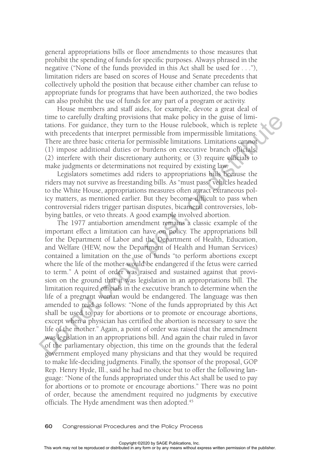general appropriations bills or floor amendments to those measures that prohibit the spending of funds for specific purposes. Always phrased in the negative ("None of the funds provided in this Act shall be used for . . ."), limitation riders are based on scores of House and Senate precedents that collectively uphold the position that because either chamber can refuse to appropriate funds for programs that have been authorized, the two bodies can also prohibit the use of funds for any part of a program or activity.

House members and staff aides, for example, devote a great deal of time to carefully drafting provisions that make policy in the guise of limitations. For guidance, they turn to the House rulebook, which is replete with precedents that interpret permissible from impermissible limitations. There are three basic criteria for permissible limitations. Limitations cannot (1) impose additional duties or burdens on executive branch officials, (2) interfere with their discretionary authority, or (3) require officials to make judgments or determinations not required by existing law.

Legislators sometimes add riders to appropriations bills because the riders may not survive as freestanding bills. As "must pass" vehicles headed to the White House, appropriations measures often attract extraneous policy matters, as mentioned earlier. But they become difficult to pass when controversial riders trigger partisan disputes, bicameral controversies, lobbying battles, or veto threats. A good example involved abortion.

The 1977 antiabortion amendment remains a classic example of the important effect a limitation can have on policy. The appropriations bill for the Department of Labor and the Department of Health, Education, and Welfare (HEW, now the Department of Health and Human Services) contained a limitation on the use of funds "to perform abortions except where the life of the mother would be endangered if the fetus were carried to term." A point of order was raised and sustained against that provision on the ground that it was legislation in an appropriations bill. The limitation required officials in the executive branch to determine when the life of a pregnant woman would be endangered. The language was then amended to read as follows: "None of the funds appropriated by this Act shall be used to pay for abortions or to promote or encourage abortions, except when a physician has certified the abortion is necessary to save the life of the mother." Again, a point of order was raised that the amendment was legislation in an appropriations bill. And again the chair ruled in favor of the parliamentary objection, this time on the grounds that the federal government employed many physicians and that they would be required to make life-deciding judgments. Finally, the sponsor of the proposal, GOP Rep. Henry Hyde, Ill., said he had no choice but to offer the following language: "None of the funds appropriated under this Act shall be used to pay for abortions or to promote or encourage abortions." There was no point of order, because the amendment required no judgments by executive officials. The Hyde amendment was then adopted.<sup>45</sup> time to carefully drailing provisions that make policy in the guise of limit-<br>and tooms. For guidance, they uurn to the House rulebook, which is replex<br>with precedents that interpret permissible limitations. Limitations<br>Th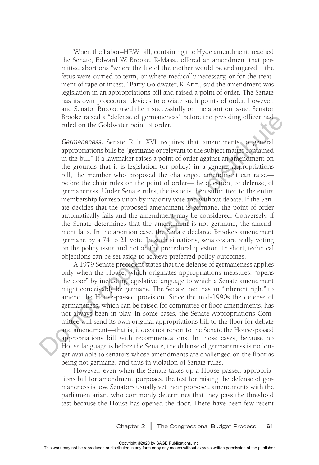When the Labor–HEW bill, containing the Hyde amendment, reached the Senate, Edward W. Brooke, R-Mass., offered an amendment that permitted abortions "where the life of the mother would be endangered if the fetus were carried to term, or where medically necessary, or for the treatment of rape or incest." Barry Goldwater, R-Ariz., said the amendment was legislation in an appropriations bill and raised a point of order. The Senate has its own procedural devices to obviate such points of order, however, and Senator Brooke used them successfully on the abortion issue. Senator Brooke raised a "defense of germaneness" before the presiding officer had ruled on the Goldwater point of order.

*Germaneness.* Senate Rule XVI requires that amendments to general appropriations bills be "**germane** or relevant to the subject matter contained in the bill." If a lawmaker raises a point of order against an amendment on the grounds that it is legislation (or policy) in a general appropriations bill, the member who proposed the challenged amendment can raise before the chair rules on the point of order—the question, or defense, of germaneness. Under Senate rules, the issue is then submitted to the entire membership for resolution by majority vote and without debate. If the Senate decides that the proposed amendment is germane, the point of order automatically fails and the amendment may be considered. Conversely, if the Senate determines that the amendment is not germane, the amendment fails. In the abortion case, the Senate declared Brooke's amendment germane by a 74 to 21 vote. In such situations, senators are really voting on the policy issue and not on the procedural question. In short, technical objections can be set aside to achieve preferred policy outcomes. Brook raised a "delenase of germanness" before the presiding officer had<br>role on the Goldwater point of order.<br>
Germane ness, Senate Rule XVI requires that amendments to general<br>
appropriations bills be "germane or releva

A 1979 Senate precedent states that the defense of germaneness applies only when the House, which originates appropriations measures, "opens the door" by including legislative language to which a Senate amendment might conceivably be germane. The Senate then has an "inherent right" to amend the House-passed provision. Since the mid-1990s the defense of germaneness, which can be raised for committee or floor amendments, has not always been in play. In some cases, the Senate Appropriations Committee will send its own original appropriations bill to the floor for debate and amendment—that is, it does not report to the Senate the House-passed appropriations bill with recommendations. In those cases, because no House language is before the Senate, the defense of germaneness is no longer available to senators whose amendments are challenged on the floor as being not germane, and thus in violation of Senate rules.

However, even when the Senate takes up a House-passed appropriations bill for amendment purposes, the test for raising the defense of germaneness is low. Senators usually vet their proposed amendments with the parliamentarian, who commonly determines that they pass the threshold test because the House has opened the door. There have been few recent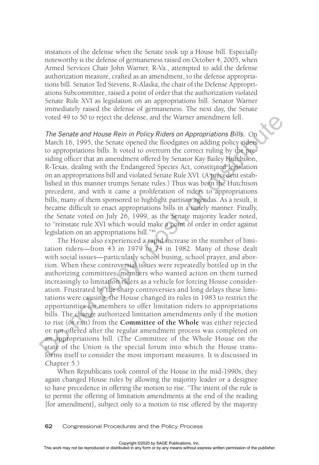instances of the defense when the Senate took up a House bill. Especially noteworthy is the defense of germaneness raised on October 4, 2005, when Armed Services Chair John Warner, R-Va., attempted to add the defense authorization measure, crafted as an amendment, to the defense appropriations bill. Senator Ted Stevens, R-Alaska, the chair of the Defense Appropriations Subcommittee, raised a point of order that the authorization violated Senate Rule XVI as legislation on an appropriations bill. Senator Warner immediately raised the defense of germaneness. The next day, the Senate voted 49 to 50 to reject the defense, and the Warner amendment fell.

*The Senate and House Rein in Policy Riders on Appropriations Bills.* On March 16, 1995, the Senate opened the floodgates on adding policy riders to appropriations bills. It voted to overturn the correct ruling by the presiding officer that an amendment offered by Senator Kay Bailey Hutchison, R-Texas, dealing with the Endangered Species Act, constituted legislation on an appropriations bill and violated Senate Rule XVI. (A precedent established in this manner trumps Senate rules.) Thus was born the Hutchison precedent, and with it came a proliferation of riders to appropriations bills, many of them sponsored to highlight partisan agendas. As a result, it became difficult to enact appropriations bills in a timely manner. Finally, the Senate voted on July 26, 1999, as the Senate majority leader noted, to "reinstate rule XVI which would make a point of order in order against legislation on an appropriations bill."46

The House also experienced a rapid increase in the number of limitation riders—from 43 in 1979 to 74 in 1982. Many of those dealt with social issues—particularly school busing, school prayer, and abortion. When these controversial issues were repeatedly bottled up in the authorizing committees, members who wanted action on them turned increasingly to limitation riders as a vehicle for forcing House consideration. Frustrated by the sharp controversies and long delays these limitations were causing, the House changed its rules in 1983 to restrict the opportunities for members to offer limitation riders to appropriations bills. The change authorized limitation amendments only if the motion to rise (or exit) from the **Committee of the Whole** was either rejected or not offered after the regular amendment process was completed on an appropriations bill. (The Committee of the Whole House on the state of the Union is the special forum into which the House transforms itself to consider the most important measures. It is discussed in Chapter 5.) voted 49 to 50 to reject the defense, and the Warner amendment [ell.<br>
The Senate and House Rein in Policy Riders on Appropriations Bills. On<br>
Mach 16, 1995, the Senate opened the floodgates on adding policy riders<br>
to app

When Republicans took control of the House in the mid-1990s, they again changed House rules by allowing the majority leader or a designee to have precedence in offering the motion to rise. "The intent of the rule is to permit the offering of limitation amendments at the end of the reading [for amendment], subject only to a motion to rise offered by the majority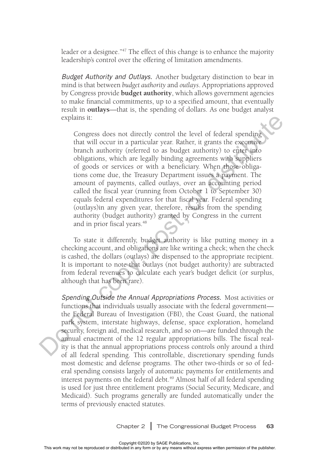leader or a designee."<sup>47</sup> The effect of this change is to enhance the majority leadership's control over the offering of limitation amendments.

*Budget Authority and Outlays.* Another budgetary distinction to bear in mind is that between *budget authority* and *outlays*. Appropriations approved by Congress provide **budget authority**, which allows government agencies to make financial commitments, up to a specified amount, that eventually result in **outlays**—that is, the spending of dollars. As one budget analyst explains it:

Congress does not directly control the level of federal spending that will occur in a particular year. Rather, it grants the executive branch authority (referred to as budget authority) to enter into obligations, which are legally binding agreements with suppliers of goods or services or with a beneficiary. When those obligations come due, the Treasury Department issues a payment. The amount of payments, called outlays, over an accounting period called the fiscal year (running from October 1 to September 30) equals federal expenditures for that fiscal year. Federal spending (outlays)in any given year, therefore, results from the spending authority (budget authority) granted by Congress in the current and in prior fiscal years.<sup>48</sup> explains it:<br>
Congress does not directly control the level of federal spending<br>
that will occur in a particular year. Rather, it grants the executive<br>
branch authority (referred to as budget authority) to chier unlo<br>
oblig

To state it differently, budget authority is like putting money in a checking account, and obligations are like writing a check; when the check is cashed, the dollars (outlays) are dispensed to the appropriate recipient. It is important to note that outlays (not budget authority) are subtracted from federal revenues to calculate each year's budget deficit (or surplus, although that has been rare).

*Spending Outside the Annual Appropriations Process.* Most activities or functions that individuals usually associate with the federal government the Federal Bureau of Investigation (FBI), the Coast Guard, the national park system, interstate highways, defense, space exploration, homeland security, foreign aid, medical research, and so on—are funded through the annual enactment of the 12 regular appropriations bills. The fiscal reality is that the annual appropriations process controls only around a third of all federal spending. This controllable, discretionary spending funds most domestic and defense programs. The other two-thirds or so of federal spending consists largely of automatic payments for entitlements and interest payments on the federal debt.<sup>49</sup> Almost half of all federal spending is used for just three entitlement programs (Social Security, Medicare, and Medicaid). Such programs generally are funded automatically under the terms of previously enacted statutes.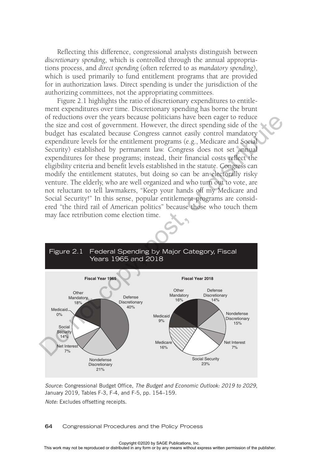Reflecting this difference, congressional analysts distinguish between *discretionary spending*, which is controlled through the annual appropriations process, and *direct spending* (often referred to as *mandatory spending*), which is used primarily to fund entitlement programs that are provided for in authorization laws. Direct spending is under the jurisdiction of the authorizing committees, not the appropriating committees.

Figure 2.1 highlights the ratio of discretionary expenditures to entitlement expenditures over time. Discretionary spending has borne the brunt of reductions over the years because politicians have been eager to reduce the size and cost of government. However, the direct spending side of the budget has escalated because Congress cannot easily control mandatory expenditure levels for the entitlement programs (e.g., Medicare and Social Security) established by permanent law. Congress does not set annual expenditures for these programs; instead, their financial costs reflect the eligibility criteria and benefit levels established in the statute. Congress can modify the entitlement statutes, but doing so can be an electorally risky venture. The elderly, who are well organized and who turn out to vote, are not reluctant to tell lawmakers, "Keep your hands off my Medicare and Social Security!" In this sense, popular entitlement programs are considered "the third rail of American politics" because those who touch them may face retribution come election time.



*Source:* Congressional Budget Office, *The Budget and Economic Outlook: 2019 to 2029*, January 2019, Tables F-3, F-4, and F-5, pp. 154–159.

*Note:* Excludes offsetting receipts.

**64** Congressional Procedures and the Policy Process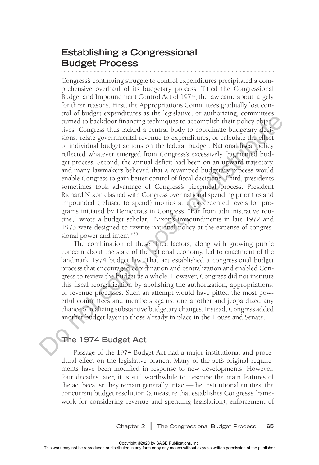## **Establishing a Congressional Budget Process**

Congress's continuing struggle to control expenditures precipitated a comprehensive overhaul of its budgetary process. Titled the Congressional Budget and Impoundment Control Act of 1974, the law came about largely for three reasons. First, the Appropriations Committees gradually lost control of budget expenditures as the legislative, or authorizing, committees turned to backdoor financing techniques to accomplish their policy objectives. Congress thus lacked a central body to coordinate budgetary decisions, relate governmental revenue to expenditures, or calculate the effect of individual budget actions on the federal budget. National fiscal policy reflected whatever emerged from Congress's excessively fragmented budget process. Second, the annual deficit had been on an upward trajectory, and many lawmakers believed that a revamped budgetary process would enable Congress to gain better control of fiscal decisions. Third, presidents sometimes took advantage of Congress's piecemeal process. President Richard Nixon clashed with Congress over national spending priorities and impounded (refused to spend) monies at unprecedented levels for programs initiated by Democrats in Congress. "Far from administrative routine," wrote a budget scholar, "Nixon's impoundments in late 1972 and 1973 were designed to rewrite national policy at the expense of congressional power and intent."50 to the stagge expensation and the squature, or antioning, coinmulated in backdoor financing techniques to accomplish their policy objectives. Congress thus lacked a central body to coordinate budgetary devisions, relate go

The combination of these three factors, along with growing public concern about the state of the national economy, led to enactment of the landmark 1974 budget law. That act established a congressional budget process that encouraged coordination and centralization and enabled Congress to review the budget as a whole. However, Congress did not institute this fiscal reorganization by abolishing the authorization, appropriations, or revenue processes. Such an attempt would have pitted the most powerful committees and members against one another and jeopardized any chance of realizing substantive budgetary changes. Instead, Congress added another budget layer to those already in place in the House and Senate.

## **The 1974 Budget Act**

Passage of the 1974 Budget Act had a major institutional and procedural effect on the legislative branch. Many of the act's original requirements have been modified in response to new developments. However, four decades later, it is still worthwhile to describe the main features of the act because they remain generally intact—the institutional entities, the concurrent budget resolution (a measure that establishes Congress's framework for considering revenue and spending legislation), enforcement of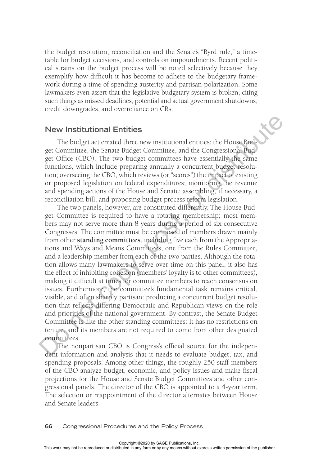the budget resolution, reconciliation and the Senate's "Byrd rule," a timetable for budget decisions, and controls on impoundments. Recent political strains on the budget process will be noted selectively because they exemplify how difficult it has become to adhere to the budgetary framework during a time of spending austerity and partisan polarization. Some lawmakers even assert that the legislative budgetary system is broken, citing such things as missed deadlines, potential and actual government shutdowns, credit downgrades, and overreliance on CRs.

#### **New Institutional Entities**

The budget act created three new institutional entities: the House Budget Committee, the Senate Budget Committee, and the Congressional Budget Office (CBO). The two budget committees have essentially the same functions, which include preparing annually a concurrent budget resolution; overseeing the CBO, which reviews (or "scores") the impact of existing or proposed legislation on federal expenditures; monitoring the revenue and spending actions of the House and Senate; assembling, if necessary, a reconciliation bill; and proposing budget process reform legislation.

The two panels, however, are constituted differently. The House Budget Committee is required to have a rotating membership; most members may not serve more than 8 years during a period of six consecutive Congresses. The committee must be composed of members drawn mainly from other **standing committees**, including five each from the Appropriations and Ways and Means Committees, one from the Rules Committee, and a leadership member from each of the two parties. Although the rotation allows many lawmakers to serve over time on this panel, it also has the effect of inhibiting cohesion (members' loyalty is to other committees), making it difficult at times for committee members to reach consensus on issues. Furthermore, the committee's fundamental task remains critical, visible, and often sharply partisan: producing a concurrent budget resolution that reflects differing Democratic and Republican views on the role and priorities of the national government. By contrast, the Senate Budget Committee is like the other standing committees: It has no restrictions on tenure, and its members are not required to come from other designated committees. New Institutional Entities<br>
The budget act created three new institutional entities: the House,Bard<br>
get Committee, the Senate Budget Committee, and the Congressional Budget<br>
get Office (CBO). The two budget committees hav

The nonpartisan CBO is Congress's official source for the independent information and analysis that it needs to evaluate budget, tax, and spending proposals. Among other things, the roughly 250 staff members of the CBO analyze budget, economic, and policy issues and make fiscal projections for the House and Senate Budget Committees and other congressional panels. The director of the CBO is appointed to a 4-year term. The selection or reappointment of the director alternates between House and Senate leaders.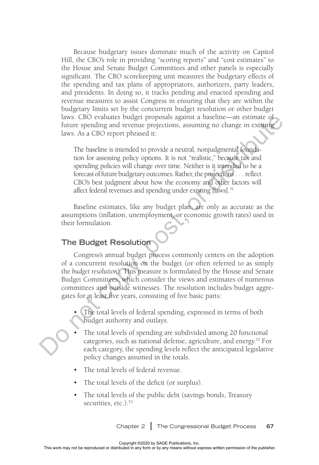Because budgetary issues dominate much of the activity on Capitol Hill, the CBO's role in providing "scoring reports" and "cost estimates" to the House and Senate Budget Committees and other panels is especially significant. The CBO scorekeeping unit measures the budgetary effects of the spending and tax plans of appropriators, authorizers, party leaders, and presidents. In doing so, it tracks pending and enacted spending and revenue measures to assist Congress in ensuring that they are within the budgetary limits set by the concurrent budget resolution or other budget laws. CBO evaluates budget proposals against a baseline—an estimate of future spending and revenue projections, assuming no change in existing laws. As a CBO report phrased it:

The baseline is intended to provide a neutral, nonjudgmental foundation for assessing policy options. It is not "realistic," because tax and spending policies will change over time. Neither is it intended to be a forecast of future budgetary outcomes. Rather, the projections . . . reflect CBO's best judgment about how the economy and other factors will affect federal revenues and spending under existing [laws].<sup>51</sup>

Baseline estimates, like any budget plan, are only as accurate as the assumptions (inflation, unemployment, or economic growth rates) used in their formulation.

# **The Budget Resolution**

Congress's annual budget process commonly centers on the adoption of a concurrent resolution on the budget (or often referred to as simply the *budget resolution*). This measure is formulated by the House and Senate Budget Committees, which consider the views and estimates of numerous committees and outside witnesses. The resolution includes budget aggregates for at least five years, consisting of five basic parts: Concultures budget process are an institute of the busine state of excellence future spending and revenue projections, assuming no change in existing laws. As a CBO report phrased it:<br>
The baseline is intended to provide a

- The total levels of federal spending, expressed in terms of both budget authority and outlays.
- The total levels of spending are subdivided among 20 functional categories, such as national defense, agriculture, and energy.<sup>52</sup> For each category, the spending levels reflect the anticipated legislative policy changes assumed in the totals.
- The total levels of federal revenue.
- The total levels of the deficit (or surplus).
- The total levels of the public debt (savings bonds, Treasury securities, etc.).<sup>53</sup>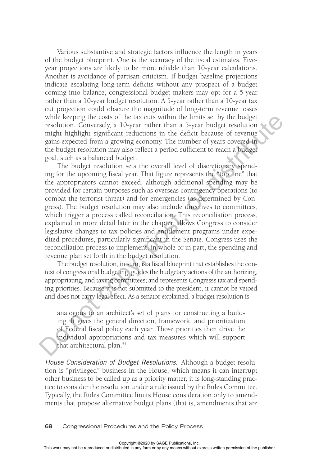Various substantive and strategic factors influence the length in years of the budget blueprint. One is the accuracy of the fiscal estimates. Fiveyear projections are likely to be more reliable than 10-year calculations. Another is avoidance of partisan criticism. If budget baseline projections indicate escalating long-term deficits without any prospect of a budget coming into balance, congressional budget makers may opt for a 5-year rather than a 10-year budget resolution. A 5-year rather than a 10-year tax cut projection could obscure the magnitude of long-term revenue losses while keeping the costs of the tax cuts within the limits set by the budget resolution. Conversely, a 10-year rather than a 5-year budget resolution might highlight significant reductions in the deficit because of revenue gains expected from a growing economy. The number of years covered in the budget resolution may also reflect a period sufficient to reach a budget goal, such as a balanced budget.

The budget resolution sets the overall level of discretionary spending for the upcoming fiscal year. That figure represents the "top line" that the appropriators cannot exceed, although additional spending may be provided for certain purposes such as overseas contingency operations (to combat the terrorist threat) and for emergencies (as determined by Congress). The budget resolution may also include directives to committees, which trigger a process called reconciliation. This reconciliation process, explained in more detail later in the chapter, allows Congress to consider legislative changes to tax policies and entitlement programs under expedited procedures, particularly significant in the Senate. Congress uses the reconciliation process to implement, in whole or in part, the spending and revenue plan set forth in the budget resolution. while keeping the costs of the tax cuts within the limits set by the budget resolution. Conversely, a 10-year rather than a 5-year budget resolution magit highlight significant reductions in the deficit because of revenue

The budget resolution, in sum, is a fiscal blueprint that establishes the context of congressional budgeting; guides the budgetary actions of the authorizing, appropriating, and taxing committees; and represents Congress's tax and spending priorities. Because it is not submitted to the president, it cannot be vetoed and does not carry legal effect. As a senator explained, a budget resolution is

analogous to an architect's set of plans for constructing a building. It gives the general direction, framework, and prioritization of Federal fiscal policy each year. Those priorities then drive the individual appropriations and tax measures which will support that architectural plan.<sup>54</sup>

*House Consideration of Budget Resolutions.* Although a budget resolution is "privileged" business in the House, which means it can interrupt other business to be called up as a priority matter, it is long-standing practice to consider the resolution under a rule issued by the Rules Committee. Typically, the Rules Committee limits House consideration only to amendments that propose alternative budget plans (that is, amendments that are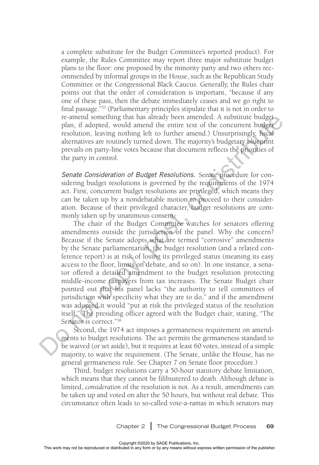a complete substitute for the Budget Committee's reported product). For example, the Rules Committee may report three major substitute budget plans to the floor: one proposed by the minority party and two others recommended by informal groups in the House, such as the Republican Study Committee or the Congressional Black Caucus. Generally, the Rules chair points out that the order of consideration is important, "because if any one of these pass, then the debate immediately ceases and we go right to final passage."55 (Parliamentary principles stipulate that it is not in order to re-amend something that has already been amended. A substitute budget plan, if adopted, would amend the entire text of the concurrent budget resolution, leaving nothing left to further amend.) Unsurprisingly, fiscal alternatives are routinely turned down. The majority's budgetary blueprint prevails on party-line votes because that document reflects the priorities of the party in control.

*Senate Consideration of Budget Resolutions.* Senate procedure for considering budget resolutions is governed by the requirements of the 1974 act. First, concurrent budget resolutions are privileged, which means they can be taken up by a nondebatable motion to proceed to their consideration. Because of their privileged character, budget resolutions are commonly taken up by unanimous consent.

The chair of the Budget Committee watches for senators offering amendments outside the jurisdiction of the panel. Why the concern? Because if the Senate adopts what are termed "corrosive" amendments by the Senate parliamentarian, the budget resolution (and a related conference report) is at risk of losing its privileged status (meaning its easy access to the floor, limits on debate, and so on). In one instance, a senator offered a detailed amendment to the budget resolution protecting middle-income taxpayers from tax increases. The Senate Budget chair pointed out that his panel lacks "the authority to tell committees of jurisdiction with specificity what they are to do," and if the amendment was adopted it would "put at risk the privileged status of the resolution itself." The presiding officer agreed with the Budget chair, stating, "The Senator is correct."56 re-anneal something that has already been amended. A substitute budget<br>plan, if adopted, would amend the entire text of the concurrent budget<br>resolution, leaving nothing left to further amend.) Unsurprisingly fiscal<br>alter

Second, the 1974 act imposes a germaneness requirement on amendments to budget resolutions. The act permits the germaneness standard to be waived (or set aside), but it requires at least 60 votes, instead of a simple majority, to waive the requirement. (The Senate, unlike the House, has no general germaneness rule. See Chapter 7 on Senate floor procedure.)

Third, budget resolutions carry a 50-hour statutory debate limitation, which means that they cannot be filibustered to death. Although debate is limited, *consideration* of the resolution is not. As a result, amendments can be taken up and voted on after the 50 hours, but without real debate. This circumstance often leads to so-called vote-a-ramas in which senators may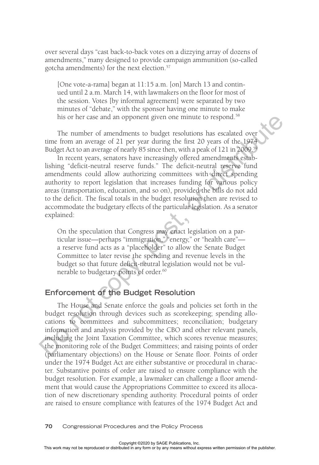over several days "cast back-to-back votes on a dizzying array of dozens of amendments," many designed to provide campaign ammunition (so-called gotcha amendments) for the next election.<sup>57</sup>

[One vote-a-rama] began at 11:15 a.m. [on] March 13 and continued until 2 a.m. March 14, with lawmakers on the floor for most of the session. Votes [by informal agreement] were separated by two minutes of "debate," with the sponsor having one minute to make his or her case and an opponent given one minute to respond.<sup>58</sup>

The number of amendments to budget resolutions has escalated over time from an average of 21 per year during the first 20 years of the 1974 Budget Act to an average of nearly 85 since then, with a peak of 121 in 2009.<sup>59</sup>

In recent years, senators have increasingly offered amendments establishing "deficit-neutral reserve funds." The deficit-neutral reserve fund amendments could allow authorizing committees with direct spending authority to report legislation that increases funding for various policy areas (transportation, education, and so on), provided the bills do not add to the deficit. The fiscal totals in the budget resolution then are revised to accommodate the budgetary effects of the particular legislation. As a senator explained: his or her case and an opponent given one minute to respond.<sup>36</sup><br>The number of amendments to budget resolutions has escalated over<br>inferior com an average of 21 per year during the first 20 years of the 1974<br>Budget Act to

On the speculation that Congress may enact legislation on a particular issue—perhaps "immigration," "energy," or "health care" a reserve fund acts as a "placeholder" to allow the Senate Budget Committee to later revise the spending and revenue levels in the budget so that future deficit-neutral legislation would not be vulnerable to budgetary points of order.<sup>60</sup>

## **Enforcement of the Budget Resolution**

The House and Senate enforce the goals and policies set forth in the budget resolution through devices such as scorekeeping; spending allocations to committees and subcommittees; reconciliation; budgetary information and analysis provided by the CBO and other relevant panels, including the Joint Taxation Committee, which scores revenue measures; the monitoring role of the Budget Committees; and raising points of order (parliamentary objections) on the House or Senate floor. Points of order under the 1974 Budget Act are either substantive or procedural in character. Substantive points of order are raised to ensure compliance with the budget resolution. For example, a lawmaker can challenge a floor amendment that would cause the Appropriations Committee to exceed its allocation of new discretionary spending authority. Procedural points of order are raised to ensure compliance with features of the 1974 Budget Act and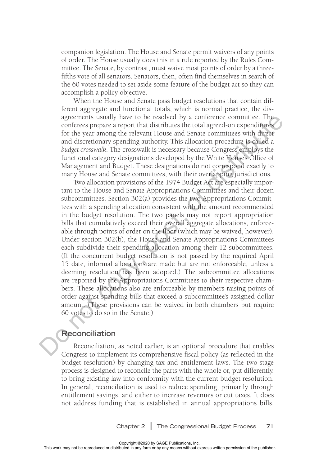companion legislation. The House and Senate permit waivers of any points of order. The House usually does this in a rule reported by the Rules Committee. The Senate, by contrast, must waive most points of order by a threefifths vote of all senators. Senators, then, often find themselves in search of the 60 votes needed to set aside some feature of the budget act so they can accomplish a policy objective.

When the House and Senate pass budget resolutions that contain different aggregate and functional totals, which is normal practice, the disagreements usually have to be resolved by a conference committee. The conferees prepare a report that distributes the total agreed-on expenditures for the year among the relevant House and Senate committees with direct and discretionary spending authority. This allocation procedure is called a *budget crosswalk*. The crosswalk is necessary because Congress employs the functional category designations developed by the White House's Office of Management and Budget. These designations do not correspond exactly to many House and Senate committees, with their overlapping jurisdictions.

Two allocation provisions of the 1974 Budget Act are especially important to the House and Senate Appropriations Committees and their dozen subcommittees. Section 302(a) provides the two Appropriations Committees with a spending allocation consistent with the amount recommended in the budget resolution. The two panels may not report appropriation bills that cumulatively exceed their overall aggregate allocations, enforceable through points of order on the floor (which may be waived, however). Under section 302(b), the House and Senate Appropriations Committees each subdivide their spending allocation among their 12 subcommittees. (If the concurrent budget resolution is not passed by the required April 15 date, informal allocations are made but are not enforceable, unless a deeming resolution has been adopted.) The subcommittee allocations are reported by the Appropriations Committees to their respective chambers. These allocations also are enforceable by members raising points of order against spending bills that exceed a subcommittee's assigned dollar amount. (These provisions can be waived in both chambers but require 60 votes to do so in the Senate.) agreements usually have to be resolved by a conference committee. The<br>conference prepare a report that distributes the total agreed-on expenditures<br>for the year among the relevant House and Senate committees with dree<br>at a

#### **Reconciliation**

Reconciliation, as noted earlier, is an optional procedure that enables Congress to implement its comprehensive fiscal policy (as reflected in the budget resolution) by changing tax and entitlement laws. The two-stage process is designed to reconcile the parts with the whole or, put differently, to bring existing law into conformity with the current budget resolution. In general, reconciliation is used to reduce spending, primarily through entitlement savings, and either to increase revenues or cut taxes. It does not address funding that is established in annual appropriations bills.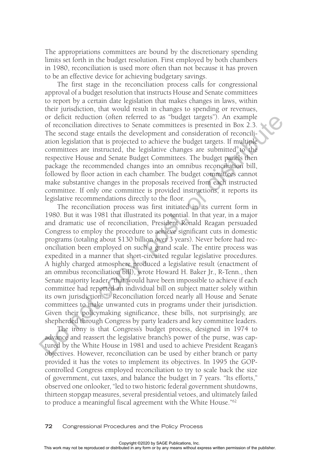The appropriations committees are bound by the discretionary spending limits set forth in the budget resolution. First employed by both chambers in 1980, reconciliation is used more often than not because it has proven to be an effective device for achieving budgetary savings.

The first stage in the reconciliation process calls for congressional approval of a budget resolution that instructs House and Senate committees to report by a certain date legislation that makes changes in laws, within their jurisdiction, that would result in changes to spending or revenues, or deficit reduction (often referred to as "budget targets"). An example of reconciliation directives to Senate committees is presented in Box 2.3. The second stage entails the development and consideration of reconciliation legislation that is projected to achieve the budget targets. If multiple committees are instructed, the legislative changes are submitted to the respective House and Senate Budget Committees. The budget panels then package the recommended changes into an omnibus reconciliation bill, followed by floor action in each chamber. The budget committees cannot make substantive changes in the proposals received from each instructed committee. If only one committee is provided instructions, it reports its legislative recommendations directly to the floor.

The reconciliation process was first initiated in its current form in 1980. But it was 1981 that illustrated its potential. In that year, in a major and dramatic use of reconciliation, President Ronald Reagan persuaded Congress to employ the procedure to achieve significant cuts in domestic programs (totaling about \$130 billion over 3 years). Never before had reconciliation been employed on such a grand scale. The entire process was expedited in a manner that short-circuited regular legislative procedures. A highly charged atmosphere produced a legislative result (enactment of an omnibus reconciliation bill), wrote Howard H. Baker Jr., R-Tenn., then Senate majority leader, "that would have been impossible to achieve if each committee had reported an individual bill on subject matter solely within its own jurisdiction."61 Reconciliation forced nearly all House and Senate committees to make unwanted cuts in programs under their jurisdiction. Given their policymaking significance, these bills, not surprisingly, are shepherded through Congress by party leaders and key committee leaders. or delicit realient colaries to as "budget targets"). An example<br>for concelistation directives to Senate committees is presented in box 2.3.<br>The second stage entails the development and consideration of reconciliation<br>inte

The irony is that Congress's budget process, designed in 1974 to advance and reassert the legislative branch's power of the purse, was captured by the White House in 1981 and used to achieve President Reagan's objectives. However, reconciliation can be used by either branch or party provided it has the votes to implement its objectives. In 1995 the GOPcontrolled Congress employed reconciliation to try to scale back the size of government, cut taxes, and balance the budget in 7 years. "Its efforts," observed one onlooker, "led to two historic federal government shutdowns, thirteen stopgap measures, several presidential vetoes, and ultimately failed to produce a meaningful fiscal agreement with the White House."62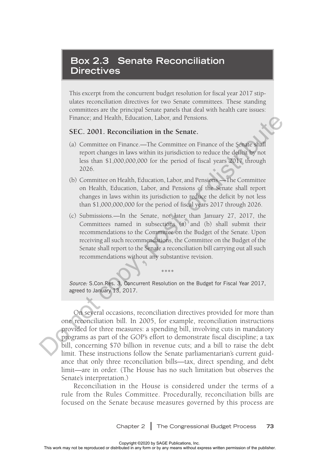## **Box 2.3 Senate Reconciliation Directives**

This excerpt from the concurrent budget resolution for fiscal year 2017 stipulates reconciliation directives for two Senate committees. These standing committees are the principal Senate panels that deal with health care issues: Finance; and Health, Education, Labor, and Pensions.

#### **SEC. 2001. Reconciliation in the Senate.**

- (a) Committee on Finance.—The Committee on Finance of the Senate shall report changes in laws within its jurisdiction to reduce the deficit by not less than \$1,000,000,000 for the period of fiscal years 2017 through 2026.
- (b) Committee on Health, Education, Labor, and Pensions.—The Committee on Health, Education, Labor, and Pensions of the Senate shall report changes in laws within its jurisdiction to reduce the deficit by not less than \$1,000,000,000 for the period of fiscal years 2017 through 2026.
- (c) Submissions.—In the Senate, not later than January 27, 2017, the Committees named in subsections (a) and (b) shall submit their recommendations to the Committee on the Budget of the Senate. Upon receiving all such recommendations, the Committee on the Budget of the Senate shall report to the Senate a reconciliation bill carrying out all such recommendations without any substantive revision.

*Source:* S.Con.Res. 3, Concurrent Resolution on the Budget for Fiscal Year 2017, agreed to January 13, 2017.

\*\*\*\*

On several occasions, reconciliation directives provided for more than one reconciliation bill. In 2005, for example, reconciliation instructions provided for three measures: a spending bill, involving cuts in mandatory programs as part of the GOP's effort to demonstrate fiscal discipline; a tax bill, concerning \$70 billion in revenue cuts; and a bill to raise the debt limit. These instructions follow the Senate parliamentarian's current guidance that only three reconciliation bills—tax, direct spending, and debt limit—are in order. (The House has no such limitation but observes the Senate's interpretation.) Finance; and Health, Education, Labor, and Pensions.<br>
SEC. 2001. Reconciliation in the Senate.<br>
(a) Committee on Finance. The Committee on Finance of the Senate shall<br>
report changes in laws within its jurisdiction to red

Reconciliation in the House is considered under the terms of a rule from the Rules Committee. Procedurally, reconciliation bills are focused on the Senate because measures governed by this process are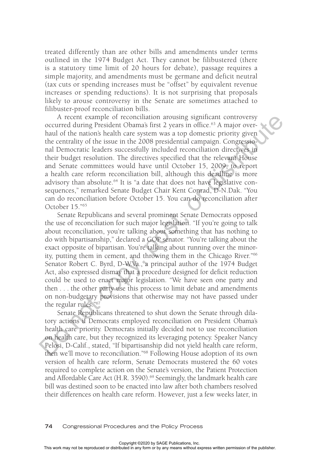treated differently than are other bills and amendments under terms outlined in the 1974 Budget Act. They cannot be filibustered (there is a statutory time limit of 20 hours for debate), passage requires a simple majority, and amendments must be germane and deficit neutral (tax cuts or spending increases must be "offset" by equivalent revenue increases or spending reductions). It is not surprising that proposals likely to arouse controversy in the Senate are sometimes attached to filibuster-proof reconciliation bills.

A recent example of reconciliation arousing significant controversy occurred during President Obama's first 2 years in office.<sup>63</sup> A major overhaul of the nation's health care system was a top domestic priority given the centrality of the issue in the 2008 presidential campaign. Congressional Democratic leaders successfully included reconciliation directives in their budget resolution. The directives specified that the relevant House and Senate committees would have until October 15, 2009, to report a health care reform reconciliation bill, although this deadline is more advisory than absolute.<sup>64</sup> It is "a date that does not have legislative consequences," remarked Senate Budget Chair Kent Conrad, D-N.Dak. "You can do reconciliation before October 15. You can do reconciliation after October 15."65

Senate Republicans and several prominent Senate Democrats opposed the use of reconciliation for such major legislation. "If you're going to talk about reconciliation, you're talking about something that has nothing to do with bipartisanship," declared a GOP senator. "You're talking about the exact opposite of bipartisan. You're talking about running over the minority, putting them in cement, and throwing them in the Chicago River."66 Senator Robert C. Byrd, D-W.Va., a principal author of the 1974 Budget Act, also expressed dismay that a procedure designed for deficit reduction could be used to enact major legislation. "We have seen one party and then . . . the other party use this process to limit debate and amendments on non-budgetary provisions that otherwise may not have passed under the regular rules." $($ A recent example of reconcillation arousing significant controversy<br>occurred during President Obamas Inst 2 years in office.<sup>67</sup> A major over-<br>haul of the nation's health care system was a top domestic priority given<br>the

Senate Republicans threatened to shut down the Senate through dilatory actions if Democrats employed reconciliation on President Obama's health care priority. Democrats initially decided not to use reconciliation on health care, but they recognized its leveraging potency. Speaker Nancy Pelosi, D-Calif., stated, "If bipartisanship did not yield health care reform, then we'll move to reconciliation."68 Following House adoption of its own version of health care reform, Senate Democrats mustered the 60 votes required to complete action on the Senate's version, the Patient Protection and Affordable Care Act (H.R. 3590).<sup>69</sup> Seemingly, the landmark health care bill was destined soon to be enacted into law after both chambers resolved their differences on health care reform. However, just a few weeks later, in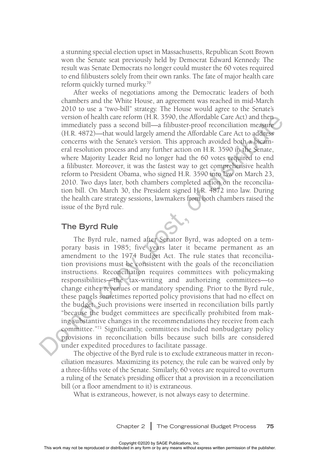a stunning special election upset in Massachusetts, Republican Scott Brown won the Senate seat previously held by Democrat Edward Kennedy. The result was Senate Democrats no longer could muster the 60 votes required to end filibusters solely from their own ranks. The fate of major health care reform quickly turned murky.70

After weeks of negotiations among the Democratic leaders of both chambers and the White House, an agreement was reached in mid-March 2010 to use a "two-bill" strategy. The House would agree to the Senate's version of health care reform (H.R. 3590, the Affordable Care Act) and then immediately pass a second bill—a filibuster-proof reconciliation measure (H.R. 4872)—that would largely amend the Affordable Care Act to address concerns with the Senate's version. This approach avoided both a bicameral resolution process and any further action on H.R. 3590 in the Senate, where Majority Leader Reid no longer had the 60 votes required to end a filibuster. Moreover, it was the fastest way to get comprehensive health reform to President Obama, who signed H.R. 3590 into law on March 23, 2010. Two days later, both chambers completed action on the reconciliation bill. On March 30, the President signed H.R. 4872 into law. During the health care strategy sessions, lawmakers from both chambers raised the issue of the Byrd rule.

#### **The Byrd Rule**

The Byrd rule, named after Senator Byrd, was adopted on a temporary basis in 1985; five years later it became permanent as an amendment to the 1974 Budget Act. The rule states that reconciliation provisions must be consistent with the goals of the reconciliation instructions. Reconciliation requires committees with policymaking responsibilities—the tax-writing and authorizing committees—to change either revenues or mandatory spending. Prior to the Byrd rule, these panels sometimes reported policy provisions that had no effect on the budget. Such provisions were inserted in reconciliation bills partly "because the budget committees are specifically prohibited from making substantive changes in the recommendations they receive from each committee."71 Significantly, committees included nonbudgetary policy provisions in reconciliation bills because such bills are considered under expedited procedures to facilitate passage. version of health care reform (H.R. 3590), the Affordable Care Act) and then<br>
immediately pass a second bill—a filibuster-proof reconciliation measure<br>
(H.R. 4872)—that would largely amend the Affordable Care Act to addre

The objective of the Byrd rule is to exclude extraneous matter in reconciliation measures. Maximizing its potency, the rule can be waived only by a three-fifths vote of the Senate. Similarly, 60 votes are required to overturn a ruling of the Senate's presiding officer that a provision in a reconciliation bill (or a floor amendment to it) is extraneous.

What is extraneous, however, is not always easy to determine.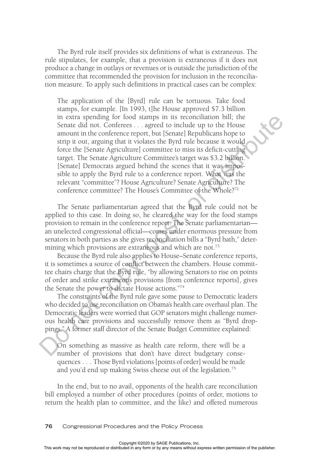The Byrd rule itself provides six definitions of what is extraneous. The rule stipulates, for example, that a provision is extraneous if it does not produce a change in outlays or revenues or is outside the jurisdiction of the committee that recommended the provision for inclusion in the reconciliation measure. To apply such definitions in practical cases can be complex:

The application of the [Byrd] rule can be tortuous. Take food stamps, for example. [In 1993, t]he House approved \$7.3 billion in extra spending for food stamps in its reconciliation bill; the Senate did not. Conferees . . . agreed to include up to the House amount in the conference report, but [Senate] Republicans hope to strip it out, arguing that it violates the Byrd rule because it would force the [Senate Agriculture] committee to miss its deficit-cutting target. The Senate Agriculture Committee's target was \$3.2 billion. [Senate] Democrats argued behind the scenes that it was impossible to apply the Byrd rule to a conference report. What was the relevant "committee"? House Agriculture? Senate Agriculture? The conference committee? The House's Committee of the Whole?72 in extra spending for lood stamps in its reconciliation bill; the<br>Senate did not. Conferens ... agreed to include up to the House<br>amount in the conference report, but [Senate] Republicans hope to<br>strip it out, arguing tha

The Senate parliamentarian agreed that the Byrd rule could not be applied to this case. In doing so, he cleared the way for the food stamps provision to remain in the conference report. The Senate parliamentarian an unelected congressional official—comes under enormous pressure from senators in both parties as she gives reconciliation bills a "Byrd bath," determining which provisions are extraneous and which are not.<sup>73</sup>

Because the Byrd rule also applies to House–Senate conference reports, it is sometimes a source of conflict between the chambers. House committee chairs charge that the Byrd rule, "by allowing Senators to rise on points of order and strike extraneous provisions [from conference reports], gives the Senate the power to dictate House actions."74

The constraints of the Byrd rule gave some pause to Democratic leaders who decided to use reconciliation on Obama's health care overhaul plan. The Democratic leaders were worried that GOP senators might challenge numerous health care provisions and successfully remove them as "Byrd droppings." A former staff director of the Senate Budget Committee explained:

On something as massive as health care reform, there will be a number of provisions that don't have direct budgetary consequences . . . Those Byrd violations [points of order] would be made and you'd end up making Swiss cheese out of the legislation.<sup>75</sup>

In the end, but to no avail, opponents of the health care reconciliation bill employed a number of other procedures (points of order, motions to return the health plan to committee, and the like) and offered numerous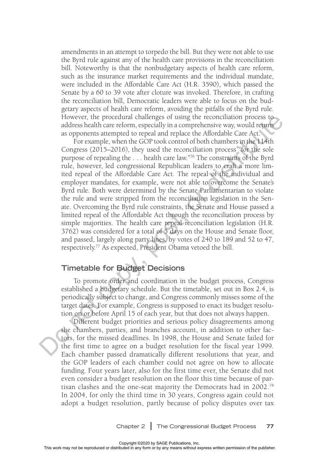amendments in an attempt to torpedo the bill. But they were not able to use the Byrd rule against any of the health care provisions in the reconciliation bill. Noteworthy is that the nonbudgetary aspects of health care reform, such as the insurance market requirements and the individual mandate, were included in the Affordable Care Act (H.R. 3590), which passed the Senate by a 60 to 39 vote after cloture was invoked. Therefore, in crafting the reconciliation bill, Democratic leaders were able to focus on the budgetary aspects of health care reform, avoiding the pitfalls of the Byrd rule. However, the procedural challenges of using the reconciliation process to address health care reform, especially in a comprehensive way, would return as opponents attempted to repeal and replace the Affordable Care Act.

For example, when the GOP took control of both chambers in the 114th Congress (2015–2016), they used the reconciliation process "for the sole purpose of repealing the . . . health care law."76 The constraints of the Byrd rule, however, led congressional Republican leaders to craft a more limited repeal of the Affordable Care Act. The repeal of the individual and employer mandates, for example, were not able to overcome the Senate's Byrd rule. Both were determined by the Senate Parliamentarian to violate the rule and were stripped from the reconciliation legislation in the Senate. Overcoming the Byrd rule constraints, the Senate and House passed a limited repeal of the Affordable Act through the reconciliation process by simple majorities. The health care repeal reconciliation legislation (H.R. 3762) was considered for a total of 5 days on the House and Senate floor, and passed, largely along party lines, by votes of 240 to 189 and 52 to 47, respectively.77 As expected, President Obama vetoed the bill. However, the procedural challenges of using the reconciliation process to<br>address health care reform, especially in a comprehensive way, would return<br>as opponents attempted to reparal and replace the Affordable Care Act.<br>

# **Timetable for Budget Decisions**

To promote order and coordination in the budget process, Congress established a budgetary schedule. But the timetable, set out in Box 2.4, is periodically subject to change, and Congress commonly misses some of the target dates. For example, Congress is supposed to enact its budget resolution on or before April 15 of each year, but that does not always happen.

Different budget priorities and serious policy disagreements among the chambers, parties, and branches account, in addition to other factors, for the missed deadlines. In 1998, the House and Senate failed for the first time to agree on a budget resolution for the fiscal year 1999. Each chamber passed dramatically different resolutions that year, and the GOP leaders of each chamber could not agree on how to allocate funding. Four years later, also for the first time ever, the Senate did not even consider a budget resolution on the floor this time because of partisan clashes and the one-seat majority the Democrats had in 2002.78 In 2004, for only the third time in 30 years, Congress again could not adopt a budget resolution, partly because of policy disputes over tax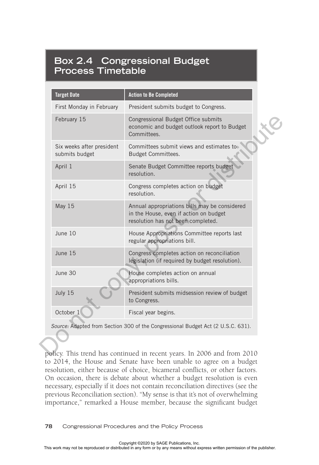## **Box 2.4 Congressional Budget Process Timetable**

| <b>Target Date</b>                          | <b>Action to Be Completed</b>                                                                                                 |
|---------------------------------------------|-------------------------------------------------------------------------------------------------------------------------------|
| First Monday in February                    | President submits budget to Congress.                                                                                         |
| February 15                                 | Congressional Budget Office submits<br>economic and budget outlook report to Budget<br>Committees.                            |
| Six weeks after president<br>submits budget | Committees submit views and estimates to<br>Budget Committees.                                                                |
| April 1                                     | Senate Budget Committee reports budget<br>resolution.                                                                         |
| April 15                                    | Congress completes action on budget<br>resolution.                                                                            |
| May 15                                      | Annual appropriations bills may be considered<br>in the House, even if action on budget<br>resolution has not been completed. |
| June 10                                     | House Appropriations Committee reports last<br>regular appropriations bill.                                                   |
| June 15                                     | Congress completes action on reconciliation<br>legislation (if required by budget resolution).                                |
| June 30                                     | House completes action on annual<br>appropriations bills.                                                                     |
| July 15                                     | President submits midsession review of budget<br>to Congress.                                                                 |
| October_1                                   | Fiscal year begins.                                                                                                           |
|                                             | Source: Adapted from Section 300 of the Congressional Budget Act (2 U.S.C. 631).                                              |
|                                             |                                                                                                                               |

policy. This trend has continued in recent years. In 2006 and from 2010 to 2014, the House and Senate have been unable to agree on a budget resolution, either because of choice, bicameral conflicts, or other factors. On occasion, there is debate about whether a budget resolution is even necessary, especially if it does not contain reconciliation directives (see the previous Reconciliation section). "My sense is that it's not of overwhelming importance," remarked a House member, because the significant budget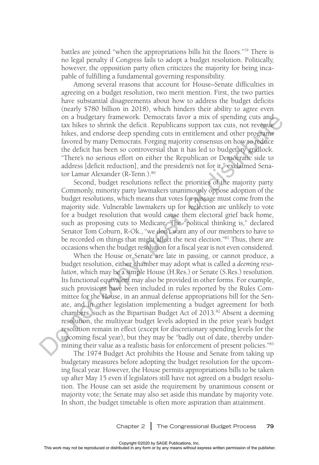battles are joined "when the appropriations bills hit the floors."79 There is no legal penalty if Congress fails to adopt a budget resolution. Politically, however, the opposition party often criticizes the majority for being incapable of fulfilling a fundamental governing responsibility.

Among several reasons that account for House–Senate difficulties in agreeing on a budget resolution, two merit mention. First, the two parties have substantial disagreements about how to address the budget deficits (nearly \$780 billion in 2018), which hinders their ability to agree even on a budgetary framework. Democrats favor a mix of spending cuts and tax hikes to shrink the deficit. Republicans support tax cuts, not revenue hikes, and endorse deep spending cuts in entitlement and other programs favored by many Democrats. Forging majority consensus on how to reduce the deficit has been so controversial that it has led to budgetary gridlock. "There's no serious effort on either the Republican or Democratic side to address [deficit reduction], and the president's not for it," exclaimed Senator Lamar Alexander (R-Tenn.).<sup>80</sup>

Second, budget resolutions reflect the priorities of the majority party. Commonly, minority party lawmakers unanimously oppose adoption of the budget resolutions, which means that votes for passage must come from the majority side. Vulnerable lawmakers up for reelection are unlikely to vote for a budget resolution that would cause them electoral grief back home, such as proposing cuts to Medicare. The "political thinking is," declared Senator Tom Coburn, R-Ok., "we don't want any of our members to have to be recorded on things that might affect the next election."<sup>81</sup> Thus, there are occasions when the budget resolution for a fiscal year is not even considered.

When the House or Senate are late in passing, or cannot produce, a budget resolution, either chamber may adopt what is called a *deeming resolution*, which may be a simple House (H.Res.) or Senate (S.Res.) resolution. Its functional equivalent may also be provided in other forms. For example, such provisions have been included in rules reported by the Rules Committee for the House, in an annual defense appropriations bill for the Senate, and in other legislation implementing a budget agreement for both chambers, such as the Bipartisan Budget Act of 2013.<sup>82</sup> Absent a deeming resolution, the multiyear budget levels adopted in the prior year's budget resolution remain in effect (except for discretionary spending levels for the upcoming fiscal year), but they may be "badly out of date, thereby undermining their value as a realistic basis for enforcement of present policies."83 or a budgetary framework. Democrats favor a mix of spending cuts and<br>tax hists to shrink the deficit. Republicans support tax cuts, not revenues<br>hikes, and endorse deep spending cuts in entitlement and other programs<br>favo

The 1974 Budget Act prohibits the House and Senate from taking up budgetary measures before adopting the budget resolution for the upcoming fiscal year. However, the House permits appropriations bills to be taken up after May 15 even if legislators still have not agreed on a budget resolution. The House can set aside the requirement by unanimous consent or majority vote; the Senate may also set aside this mandate by majority vote. In short, the budget timetable is often more aspiration than attainment.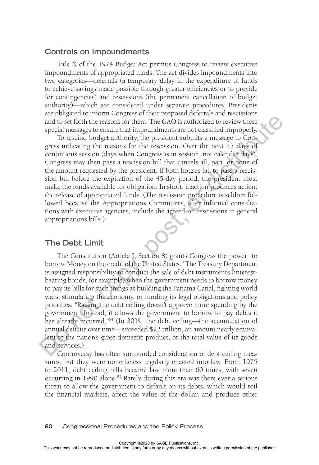#### **Controls on Impoundments**

Title X of the 1974 Budget Act permits Congress to review executive impoundments of appropriated funds. The act divides impoundments into two categories—deferrals (a temporary delay in the expenditure of funds to achieve savings made possible through greater efficiencies or to provide for contingencies) and rescissions (the permanent cancellation of budget authority)—which are considered under separate procedures. Presidents are obligated to inform Congress of their proposed deferrals and rescissions and to set forth the reasons for them. The GAO is authorized to review these special messages to ensure that impoundments are not classified improperly.

To rescind budget authority, the president submits a message to Congress indicating the reasons for the rescission. Over the next 45 days of continuous session (days when Congress is in session, not calendar days), Congress may then pass a rescission bill that cancels all, part, or none of the amount requested by the president. If both houses fail to pass a rescission bill before the expiration of the 45-day period, the president must make the funds available for obligation. In short, inaction produces action: the release of appropriated funds. (The rescission procedure is seldom followed because the Appropriations Committees, after informal consultations with executive agencies, include the agreed-on rescissions in general appropriations bills.)

#### **The Debt Limit**

The Constitution (Article I, Section 8) grants Congress the power "to borrow Money on the credit of the United States." The Treasury Department is assigned responsibility to conduct the sale of debt instruments (interestbearing bonds, for example) when the government needs to borrow money to pay its bills for such things as building the Panama Canal, fighting world wars, stimulating the economy, or funding its legal obligations and policy priorities. "Raising the debt ceiling doesn't approve more spending by the government. Instead, it allows the government to borrow to pay debts it has already incurred."84 (In 2019, the debt ceiling-the accumulation of annual deficits over time—exceeded \$22 trillion, an amount nearly equivalent to the nation's gross domestic product, or the total value of its goods and services.) and to set lotth the reasons for them. The GAO is authorized to review these<br>and to set lotth the reasons for them. The GAO is authorized to review these<br>special message to ensure that impoundments are not classified impro

Controversy has often surrounded consideration of debt ceiling measures, but they were nonetheless regularly enacted into law. From 1975 to 2011, debt ceiling bills became law more than 60 times, with seven occurring in 1990 alone.<sup>85</sup> Rarely during this era was there ever a serious threat to allow the government to default on its debts, which would roil the financial markets, affect the value of the dollar, and produce other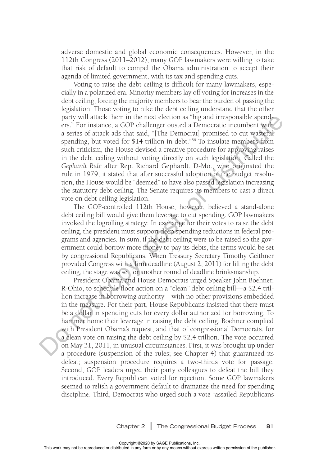adverse domestic and global economic consequences. However, in the 112th Congress (2011–2012), many GOP lawmakers were willing to take that risk of default to compel the Obama administration to accept their agenda of limited government, with its tax and spending cuts.

Voting to raise the debt ceiling is difficult for many lawmakers, especially in a polarized era. Minority members lay off voting for increases in the debt ceiling, forcing the majority members to bear the burden of passing the legislation. Those voting to hike the debt ceiling understand that the other party will attack them in the next election as "big and irresponsible spenders." For instance, a GOP challenger ousted a Democratic incumbent with a series of attack ads that said, "[The Democrat] promised to cut wasteful spending, but voted for \$14 trillion in debt."<sup>86</sup> To insulate members from such criticism, the House devised a creative procedure for approving raises in the debt ceiling without voting directly on such legislation. Called the *Gephardt Rule* after Rep. Richard Gephardt, D-Mo., who originated the rule in 1979, it stated that after successful adoption of the budget resolution, the House would be "deemed" to have also passed legislation increasing the statutory debt ceiling. The Senate requires its members to cast a direct vote on debt ceiling legislation. party will attack them in the next election as "big and irresponsible spend<br>ers." For instance, a GOP challenger ousted a Democratic incumbent with<br>a series of attack ads that said, "[The Democrat] promised to cut washeful

The GOP-controlled 112th House, however, believed a stand-alone debt ceiling bill would give them leverage to cut spending. GOP lawmakers invoked the logrolling strategy: In exchange for their votes to raise the debt ceiling, the president must support deep spending reductions in federal programs and agencies. In sum, if the debt ceiling were to be raised so the government could borrow more money to pay its debts, the terms would be set by congressional Republicans. When Treasury Secretary Timothy Geithner provided Congress with a firm deadline (August 2, 2011) for lifting the debt ceiling, the stage was set for another round of deadline brinksmanship.

President Obama and House Democrats urged Speaker John Boehner, R-Ohio, to schedule floor action on a "clean" debt ceiling bill—a \$2.4 trillion increase in borrowing authority—with no other provisions embedded in the measure. For their part, House Republicans insisted that there must be a dollar in spending cuts for every dollar authorized for borrowing. To hammer home their leverage in raising the debt ceiling, Boehner complied with President Obama's request, and that of congressional Democrats, for a clean vote on raising the debt ceiling by \$2.4 trillion. The vote occurred on May 31, 2011, in unusual circumstances. First, it was brought up under a procedure (suspension of the rules; see Chapter 4) that guaranteed its defeat; suspension procedure requires a two-thirds vote for passage. Second, GOP leaders urged their party colleagues to defeat the bill they introduced. Every Republican voted for rejection. Some GOP lawmakers seemed to relish a government default to dramatize the need for spending discipline. Third, Democrats who urged such a vote "assailed Republicans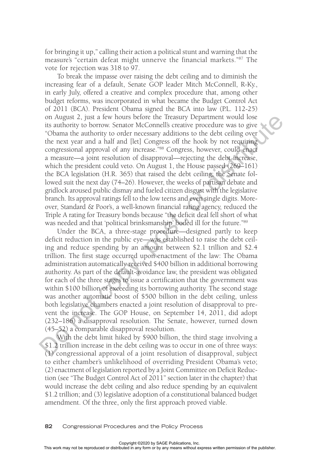for bringing it up," calling their action a political stunt and warning that the measure's "certain defeat might unnerve the financial markets."87 The vote for rejection was 318 to 97.

To break the impasse over raising the debt ceiling and to diminish the increasing fear of a default, Senate GOP leader Mitch McConnell, R-Ky., in early July, offered a creative and complex procedure that, among other budget reforms, was incorporated in what became the Budget Control Act of 2011 (BCA). President Obama signed the BCA into law (P.L. 112-25) on August 2, just a few hours before the Treasury Department would lose its authority to borrow. Senator McConnell's creative procedure was to give "Obama the authority to order necessary additions to the debt ceiling over the next year and a half and [let] Congress off the hook by not requiring congressional approval of any increase.<sup>"88</sup> Congress, however, could enact a measure—a joint resolution of disapproval—rejecting the debt increase, which the president could veto. On August 1, the House passed (269–161) the BCA legislation (H.R. 365) that raised the debt ceiling; the Senate followed suit the next day (74–26). However, the weeks of partisan debate and gridlock aroused public dismay and fueled citizen disgust with the legislative branch. Its approval ratings fell to the low teens and even single digits. Moreover, Standard & Poor's, a well-known financial rating agency, reduced the Triple A rating for Treasury bonds because "the deficit deal fell short of what was needed and that 'political brinksmanship' boded ill for the future."89 on August 2. just at leve thours before the Tensury Department would lose<br>consumption and half and hard and plet) to brow. Senator McConnell's creative procedure was to give<br>"Obama the authority to order necessary additio

Under the BCA, a three-stage procedure—designed partly to keep deficit reduction in the public eye—was established to raise the debt ceiling and reduce spending by an amount between \$2.1 trillion and \$2.4 trillion. The first stage occurred upon enactment of the law: The Obama administration automatically received \$400 billion in additional borrowing authority. As part of the default-avoidance law, the president was obligated for each of the three stages to issue a certification that the government was within \$100 billion of exceeding its borrowing authority. The second stage was another automatic boost of \$500 billion in the debt ceiling, unless both legislative chambers enacted a joint resolution of disapproval to prevent the increase. The GOP House, on September 14, 2011, did adopt (232–186) a disapproval resolution. The Senate, however, turned down (45–52) a comparable disapproval resolution.

With the debt limit hiked by \$900 billion, the third stage involving a \$1.2 trillion increase in the debt ceiling was to occur in one of three ways: (1) congressional approval of a joint resolution of disapproval, subject to either chamber's unlikelihood of overriding President Obama's veto; (2) enactment of legislation reported by a Joint Committee on Deficit Reduction (see "The Budget Control Act of 2011" section later in the chapter) that would increase the debt ceiling and also reduce spending by an equivalent \$1.2 trillion; and (3) legislative adoption of a constitutional balanced budget amendment. Of the three, only the first approach proved viable.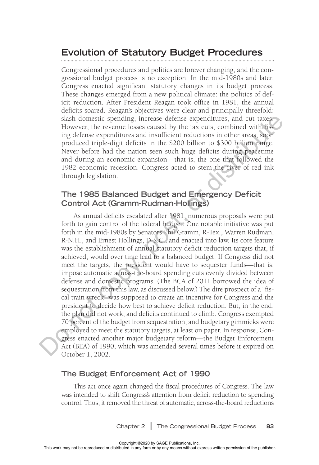# **Evolution of Statutory Budget Procedures**

Congressional procedures and politics are forever changing, and the congressional budget process is no exception. In the mid-1980s and later, Congress enacted significant statutory changes in its budget process. These changes emerged from a new political climate: the politics of deficit reduction. After President Reagan took office in 1981, the annual deficits soared. Reagan's objectives were clear and principally threefold: slash domestic spending, increase defense expenditures, and cut taxes. However, the revenue losses caused by the tax cuts, combined with rising defense expenditures and insufficient reductions in other areas, soon produced triple-digit deficits in the \$200 billion to \$300 billion range. Never before had the nation seen such huge deficits during peacetime and during an economic expansion—that is, the one that followed the 1982 economic recession. Congress acted to stem the river of red ink through legislation.

## **The 1985 Balanced Budget and Emergency Deficit Control Act (Gramm-Rudman-Hollings)**

As annual deficits escalated after 1981, numerous proposals were put forth to gain control of the federal budget. One notable initiative was put forth in the mid-1980s by Senators Phil Gramm, R-Tex., Warren Rudman, R-N.H., and Ernest Hollings, D-S.C., and enacted into law. Its core feature was the establishment of annual statutory deficit reduction targets that, if achieved, would over time lead to a balanced budget. If Congress did not meet the targets, the president would have to sequester funds—that is, impose automatic across-the-board spending cuts evenly divided between defense and domestic programs. (The BCA of 2011 borrowed the idea of sequestration from this law, as discussed below.) The dire prospect of a "fiscal train wreck" was supposed to create an incentive for Congress and the president to decide how best to achieve deficit reduction. But, in the end, the plan did not work, and deficits continued to climb. Congress exempted 70 percent of the budget from sequestration, and budgetary gimmicks were employed to meet the statutory targets, at least on paper. In response, Congress enacted another major budgetary reform—the Budget Enforcement Act (BEA) of 1990, which was amended several times before it expired on October 1, 2002. slash domestic spending, increase defense expenditures, and cut taxes<br>
However, the revente losses caused by the tax cuts, combined with the<br>
ing defense expenditures and instillatent reductions in other areas, soor<br>
produ

## **The Budget Enforcement Act of 1990**

This act once again changed the fiscal procedures of Congress. The law was intended to shift Congress's attention from deficit reduction to spending control. Thus, it removed the threat of automatic, across-the-board reductions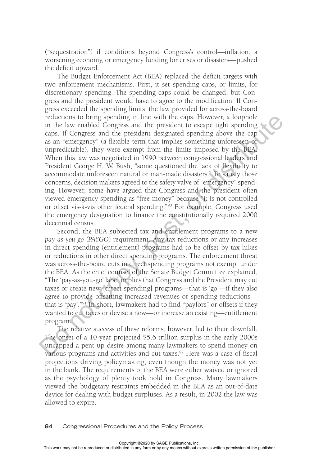("sequestration") if conditions beyond Congress's control—inflation, a worsening economy, or emergency funding for crises or disasters—pushed the deficit upward.

The Budget Enforcement Act (BEA) replaced the deficit targets with two enforcement mechanisms. First, it set spending caps, or limits, for discretionary spending. The spending caps could be changed, but Congress and the president would have to agree to the modification. If Congress exceeded the spending limits, the law provided for across-the-board reductions to bring spending in line with the caps. However, a loophole in the law enabled Congress and the president to escape tight spending caps. If Congress and the president designated spending above the cap as an "emergency" (a flexible term that implies something unforeseen or unpredictable), they were exempt from the limits imposed by the BEA. When this law was negotiated in 1990 between congressional leaders and President George H. W. Bush, "some questioned the lack of flexibility to accommodate unforeseen natural or man-made disasters." To satisfy those concerns, decision makers agreed to the safety valve of "emergency" spending. However, some have argued that Congress and the president often viewed emergency spending as "free money" because "it is not controlled or offset vis-à-vis other federal spending."90 For example, Congress used the emergency designation to finance the constitutionally required 2000 decennial census. reductions to bring spending in line with the caps. However, a loophole<br>control to he was a memoripary caps. If Congress and the president designated spending above the cap<br>as n "energency" (a flexible term that implies s

Second, the BEA subjected tax and entitlement programs to a new *pay-as-you-go (PAYGO)* requirement. Any tax reductions or any increases in direct spending (entitlement) programs had to be offset by tax hikes or reductions in other direct spending programs. The enforcement threat was across-the-board cuts in direct spending programs not exempt under the BEA. As the chief counsel of the Senate Budget Committee explained, "The 'pay-as-you-go' label implies that Congress and the President may cut taxes or create new [direct spending] programs—that is 'go'—if they also agree to provide offsetting increased revenues or spending reductions that is 'pay'."91 In short, lawmakers had to find "payfors" or offsets if they wanted to cut taxes or devise a new—or increase an existing—entitlement program.

The relative success of these reforms, however, led to their downfall. The onset of a 10-year projected \$5.6 trillion surplus in the early 2000s uncapped a pent-up desire among many lawmakers to spend money on various programs and activities and cut taxes.<sup>92</sup> Here was a case of fiscal projections driving policymaking, even though the money was not yet in the bank. The requirements of the BEA were either waived or ignored as the psychology of plenty took hold in Congress. Many lawmakers viewed the budgetary restraints embedded in the BEA as an out-of-date device for dealing with budget surpluses. As a result, in 2002 the law was allowed to expire.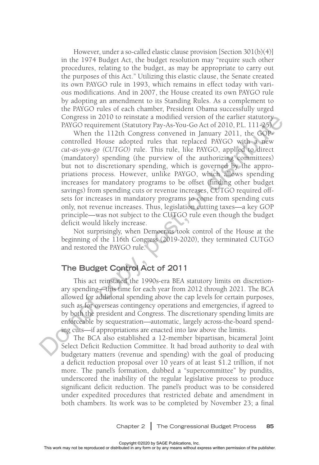However, under a so-called elastic clause provision [Section 301(b)(4)] in the 1974 Budget Act, the budget resolution may "require such other procedures, relating to the budget, as may be appropriate to carry out the purposes of this Act." Utilizing this elastic clause, the Senate created its own PAYGO rule in 1993, which remains in effect today with various modifications. And in 2007, the House created its own PAYGO rule by adopting an amendment to its Standing Rules. As a complement to the PAYGO rules of each chamber, President Obama successfully urged Congress in 2010 to reinstate a modified version of the earlier statutory PAYGO requirement (Statutory Pay-As-You-Go Act of 2010, P.L. 111-25).

When the 112th Congress convened in January 2011, the GOPcontrolled House adopted rules that replaced PAYGO with a new *cut-as-you-go (CUTGO)* rule. This rule, like PAYGO, applied to direct (mandatory) spending (the purview of the authorizing committees) but not to discretionary spending, which is governed by the appropriations process. However, unlike PAYGO, which allows spending increases for mandatory programs to be offset (finding other budget savings) from spending cuts or revenue increases, CUTGO required offsets for increases in mandatory programs to come from spending cuts only, not revenue increases. Thus, legislation cutting taxes—a key GOP principle—was not subject to the CUTGO rule even though the budget deficit would likely increase. Congress in 2010 to reinster a modified version of the carlier statutory<br>
PAYGO requirement (Statutory Pay-As-You-Go Act of 2010, P.L. 111425)<br>
When the 112th Congress convened in January 2011, the COP-<br>
controlled blouse

Not surprisingly, when Democrats took control of the House at the beginning of the 116th Congress (2019-2020), they terminated CUTGO and restored the PAYGO rule.

# **The Budget Control Act of 2011**

This act reinstated the 1990s-era BEA statutory limits on discretionary spending—this time for each year from 2012 through 2021. The BCA allowed for additional spending above the cap levels for certain purposes, such as for overseas contingency operations and emergencies, if agreed to by both the president and Congress. The discretionary spending limits are enforceable by sequestration—automatic, largely across-the-board spending cuts—if appropriations are enacted into law above the limits.

The BCA also established a 12-member bipartisan, bicameral Joint Select Deficit Reduction Committee. It had broad authority to deal with budgetary matters (revenue and spending) with the goal of producing a deficit reduction proposal over 10 years of at least \$1.2 trillion, if not more. The panel's formation, dubbed a "supercommittee" by pundits, underscored the inability of the regular legislative process to produce significant deficit reduction. The panel's product was to be considered under expedited procedures that restricted debate and amendment in both chambers. Its work was to be completed by November 23; a final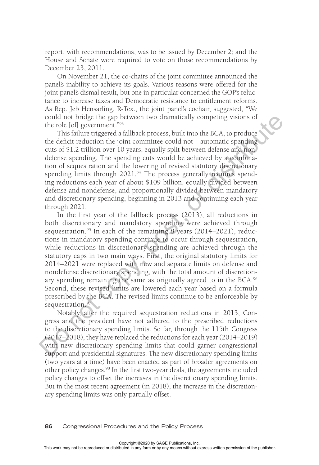report, with recommendations, was to be issued by December 2; and the House and Senate were required to vote on those recommendations by December 23, 2011.

On November 21, the co-chairs of the joint committee announced the panel's inability to achieve its goals. Various reasons were offered for the joint panel's dismal result, but one in particular concerned the GOP's reluctance to increase taxes and Democratic resistance to entitlement reforms. As Rep. Jeb Hensarling, R-Tex., the joint panel's cochair, suggested, "We could not bridge the gap between two dramatically competing visions of the role [of] government."93

This failure triggered a fallback process, built into the BCA, to produce the deficit reduction the joint committee could not—automatic spending cuts of \$1.2 trillion over 10 years, equally split between defense and nondefense spending. The spending cuts would be achieved by a combination of sequestration and the lowering of revised statutory discretionary spending limits through 2021.<sup>94</sup> The process generally requires spending reductions each year of about \$109 billion, equally divided between defense and nondefense, and proportionally divided between mandatory and discretionary spending, beginning in 2013 and continuing each year through 2021.

In the first year of the fallback process (2013), all reductions in both discretionary and mandatory spending were achieved through sequestration.<sup>95</sup> In each of the remaining 8 years  $(2014–2021)$ , reductions in mandatory spending continue to occur through sequestration, while reductions in discretionary spending are achieved through the statutory caps in two main ways. First, the original statutory limits for 2014–2021 were replaced with new and separate limits on defense and nondefense discretionary spending, with the total amount of discretionary spending remaining the same as originally agreed to in the BCA.<sup>96</sup> Second, these revised limits are lowered each year based on a formula prescribed by the BCA. The revised limits continue to be enforceable by sequestration.<sup>97</sup> could not bridge the gap between two dramatically competing visions of<br>not cold no bridge the gap between two dramatically competing visions of<br>the defici reduction the joint committee could no—-automatic speed<br>from cours

Notably, after the required sequestration reductions in 2013, Congress and the president have not adhered to the prescribed reductions to the discretionary spending limits. So far, through the 115th Congress (2017–2018), they have replaced the reductions for each year (2014–2019) with new discretionary spending limits that could garner congressional support and presidential signatures. The new discretionary spending limits (two years at a time) have been enacted as part of broader agreements on other policy changes.98 In the first two-year deals, the agreements included policy changes to offset the increases in the discretionary spending limits. But in the most recent agreement (in 2018), the increase in the discretionary spending limits was only partially offset.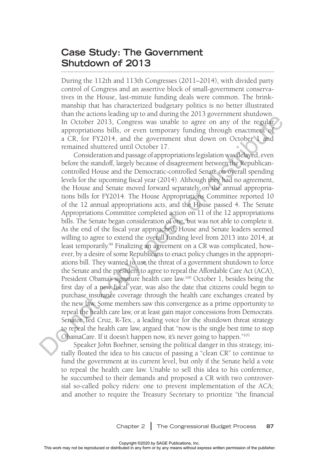## **Case Study: The Government Shutdown of 2013**

During the 112th and 113th Congresses (2011–2014), with divided party control of Congress and an assertive block of small-government conservatives in the House, last-minute funding deals were common. The brinkmanship that has characterized budgetary politics is no better illustrated than the actions leading up to and during the 2013 government shutdown. In October 2013, Congress was unable to agree on any of the regular appropriations bills, or even temporary funding through enactment of a CR, for FY2014, and the government shut down on October 1 and remained shuttered until October 17.

Consideration and passage of appropriations legislation was delayed, even before the standoff, largely because of disagreement between the Republicancontrolled House and the Democratic-controlled Senate on overall spending levels for the upcoming fiscal year (2014). Although they had no agreement, the House and Senate moved forward separately on the annual appropriations bills for FY2014. The House Appropriations Committee reported 10 of the 12 annual appropriations acts, and the House passed 4. The Senate Appropriations Committee completed action on 11 of the 12 appropriations bills. The Senate began consideration of one, but was not able to complete it. As the end of the fiscal year approached, House and Senate leaders seemed willing to agree to extend the overall funding level from 2013 into 2014, at least temporarily.<sup>99</sup> Finalizing an agreement on a CR was complicated, however, by a desire of some Republicans to enact policy changes in the appropriations bill. They wanted to use the threat of a government shutdown to force the Senate and the president to agree to repeal the Affordable Care Act (ACA), President Obama's signature health care law.<sup>100</sup> October 1, besides being the first day of a new fiscal year, was also the date that citizens could begin to purchase insurance coverage through the health care exchanges created by the new law. Some members saw this convergence as a prime opportunity to repeal the health care law, or at least gain major concessions from Democrats. Senator Ted Cruz, R-Tex., a leading voice for the shutdown threat strategy to repeal the health care law, argued that "now is the single best time to stop ObamaCare. If it doesn't happen now, it's never going to happen."101 and measures and measure and many in extra system and the regulation of the regulation bills, or even temperaty funding through enactment of a CR, for FY2014, and the government shut down on October 1 and remained shutter

Speaker John Boehner, sensing the political danger in this strategy, initially floated the idea to his caucus of passing a "clean CR" to continue to fund the government at its current level, but only if the Senate held a vote to repeal the health care law. Unable to sell this idea to his conference, he succumbed to their demands and proposed a CR with two controversial so-called policy riders: one to prevent implementation of the ACA; and another to require the Treasury Secretary to prioritize "the financial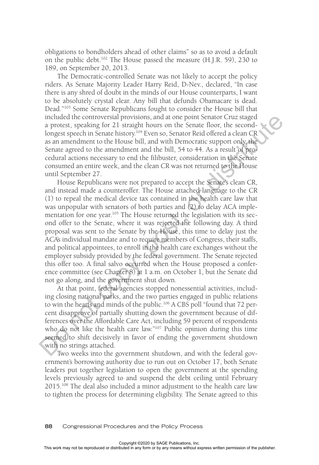obligations to bondholders ahead of other claims" so as to avoid a default on the public debt.102 The House passed the measure (H.J.R. 59), 230 to 189, on September 20, 2013.

The Democratic-controlled Senate was not likely to accept the policy riders. As Senate Majority Leader Harry Reid, D-Nev., declared, "In case there is any shred of doubt in the minds of our House counterparts, I want to be absolutely crystal clear. Any bill that defunds Obamacare is dead. Dead."103 Some Senate Republicans fought to consider the House bill that included the controversial provisions, and at one point Senator Cruz staged a protest, speaking for 21 straight hours on the Senate floor, the secondlongest speech in Senate history.104 Even so, Senator Reid offered a clean CR as an amendment to the House bill, and with Democratic support only, the Senate agreed to the amendment and the bill, 54 to 44. As a result of procedural actions necessary to end the filibuster, consideration in the Senate consumed an entire week, and the clean CR was not returned to the House until September 27.

House Republicans were not prepared to accept the Senate's clean CR, and instead made a counteroffer. The House attached language to the CR (1) to repeal the medical device tax contained in the health care law that was unpopular with senators of both parties and (2) to delay ACA implementation for one year.105 The House returned the legislation with its second offer to the Senate, where it was rejected the following day. A third proposal was sent to the Senate by the House, this time to delay just the ACA's individual mandate and to require members of Congress, their staffs, and political appointees, to enroll in the health care exchanges without the employer subsidy provided by the federal government. The Senate rejected this offer too. A final salvo occurred when the House proposed a conference committee (see Chapter 8) at 1 a.m. on October 1, but the Senate did not go along, and the government shut down. included the controversial provisions, and at one point Senator Cruz staged<br>In posts, peaking for 21 straight hours on the Senate floor, the second-<br>longest speech in Senate history.<sup>834</sup> Even so, Senator Reid offered a c

At that point, federal agencies stopped nonessential activities, including closing national parks, and the two parties engaged in public relations to win the hearts and minds of the public.<sup>106</sup> A CBS poll "found that 72 percent disapprove of partially shutting down the government because of differences over the Affordable Care Act, including 59 percent of respondents who do not like the health care law."<sup>107</sup> Public opinion during this time seemed to shift decisively in favor of ending the government shutdown with no strings attached.

Two weeks into the government shutdown, and with the federal government's borrowing authority due to run out on October 17, both Senate leaders put together legislation to open the government at the spending levels previously agreed to and suspend the debt ceiling until February 2015.108 The deal also included a minor adjustment to the health care law to tighten the process for determining eligibility. The Senate agreed to this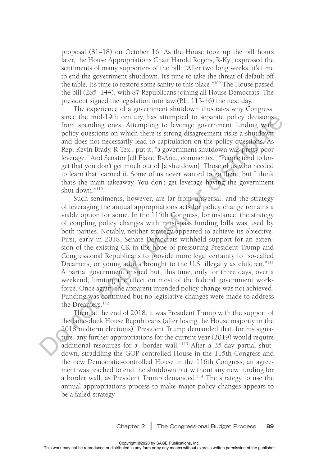proposal (81–18) on October 16. As the House took up the bill hours later, the House Appropriations Chair Harold Rogers, R-Ky., expressed the sentiments of many supporters of the bill: "After two long weeks, it's time to end the government shutdown. It's time to take the threat of default off the table. It's time to restore some sanity to this place."<sup>109</sup> The House passed the bill (285–144), with 87 Republicans joining all House Democrats. The president signed the legislation into law (P.L. 113-46) the next day.

The experience of a government shutdown illustrates why Congress, since the mid-19th century, has attempted to separate policy decisions from spending ones. Attempting to leverage government funding with policy questions on which there is strong disagreement risks a shutdown and does not necessarily lead to capitulation on the policy questions. As Rep. Kevin Brady, R-Tex., put it, "a government shutdown was pretty poor leverage." And Senator Jeff Flake, R-Ariz., commented, "People tend to forget that you don't get much out of [a shutdown]. Those of us who needed to learn that learned it. Some of us never wanted to go there, but I think that's the main takeaway. You don't get leverage having the government shut down<sup>"110</sup>

Such sentiments, however, are far from universal, and the strategy of leveraging the annual appropriations acts for policy change remains a viable option for some. In the 115th Congress, for instance, the strategy of coupling policy changes with must-pass funding bills was used by both parties. Notably, neither strategy appeared to achieve its objective. First, early in 2018, Senate Democrats withheld support for an extension of the existing CR in the hope of pressuring President Trump and Congressional Republicans to provide more legal certainty to "so-called Dreamers, or young adults brought to the U.S. illegally as children."<sup>111</sup> A partial government ensued but, this time, only for three days, over a weekend, limiting the effect on most of the federal government workforce. Once again, the apparent intended policy change was not achieved. Funding was continued but no legislative changes were made to address the Dreamers.<sup>112</sup> since the mid-19th century, has attempted to separate policy decisions<br>from spending ones. Attempting to leverage government funding with<br>policy questions on which there is strong disagreement risks a shudown<br>and does not

Then, at the end of 2018, it was President Trump with the support of the lame-duck House Republicans (after losing the House majority in the 2018 midterm elections). President Trump demanded that, for his signature, any further appropriations for the current year (2019) would require additional resources for a "border wall."<sup>113</sup> After a 35-day partial shutdown, straddling the GOP-controlled House in the 115th Congress and the new Democratic-controlled House in the 116th Congress, an agreement was reached to end the shutdown but without any new funding for a border wall, as President Trump demanded.114 The strategy to use the annual appropriations process to make major policy changes appears to be a failed strategy.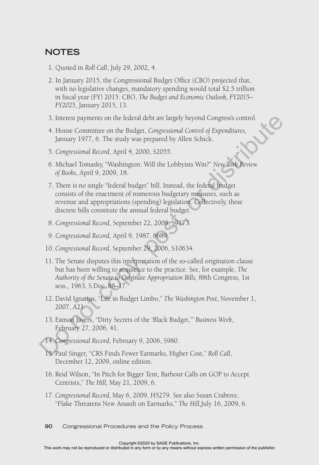## **NOTES**

- 1. Quoted in *Roll Call*, July 29, 2002, 4.
- 2. In January 2015, the Congressional Budget Office (CBO) projected that, with no legislative changes, mandatory spending would total \$2.5 trillion in fiscal year (FY) 2015. CBO, *The Budget and Economic Outlook, FY2015– FY2025*, January 2015, 13.
- 3. Interest payments on the federal debt are largely beyond Congress's control.
- 4. House Committee on the Budget, *Congressional Control of Expenditures,* January 1977, 6. The study was prepared by Allen Schick.
- 5. *Congressional Record*, April 4, 2000, S2055.
- 6. Michael Tomasky, "Washington: Will the Lobbyists Win?" *New York Review of Books*, April 9, 2009, 18.
- 7. There is no single "federal budget" bill. Instead, the federal budget consists of the enactment of numerous budgetary measures, such as revenue and appropriations (spending) legislation. Collectively, these discrete bills constitute the annual federal budget.
- 8. *Congressional Record*, September 22, 2008, S9173.
- 9. *Congressional Record*, April 9, 1987, 8689.
- 10. *Congressional Record*, September 29, 2006, S10634.
- 11. The Senate disputes this interpretation of the so-called origination clause but has been willing to acquiesce to the practice. See, for example, *The Authority of the Senate to Originate Appropriation Bills,* 88th Congress, 1st sess., 1963, S.Doc. 88–17. 3. Interest payments on the federal debt are largely beyond Congress's control.<br>
4. House Committee on the Budget, Corgressional Control of Expenditures,<br>
January 1977, 6. The study was prepared by Allen Schick.<br>
5. Congr
	- 12. David Ignatius, "Life in Budget Limbo," *The Washington Post,* November 1, 2007, A21.
	- 13. Eamon Javers, "Dirty Secrets of the 'Black Budget,'" *Business Week*, February 27, 2006, 41.
	- 14. *Congressional Record*, February 9, 2006, S980.
	- 15. Paul Singer, "CRS Finds Fewer Earmarks, Higher Cost," *Roll Call*, December 12, 2009, online edition.
	- 16. Reid Wilson, "In Pitch for Bigger Tent, Barbour Calls on GOP to Accept Centrists," *The Hill,* May 21, 2009, 6.
	- 17. *Congressional Record,* May 6, 2009, H5279. See also Susan Crabtree, "Flake Threatens New Assault on Earmarks," *The Hill,*July 16, 2009, 6.
	- **90** Congressional Procedures and the Policy Process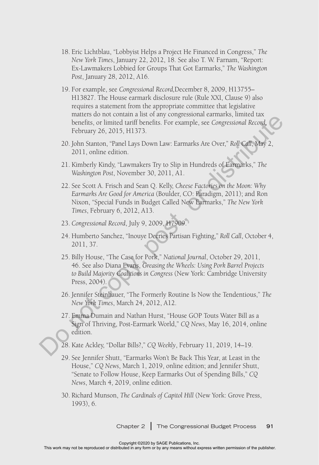- 18. Eric Lichtblau, "Lobbyist Helps a Project He Financed in Congress," *The New York Times*, January 22, 2012, 18. See also T. W. Farnam, "Report: Ex-Lawmakers Lobbied for Groups That Got Earmarks," *The Washington Post*, January 28, 2012, A16.
- 19. For example, see *Congressional Record,*December 8, 2009, H13755– H13827. The House earmark disclosure rule (Rule XXI, Clause 9) also requires a statement from the appropriate committee that legislative matters do not contain a list of any congressional earmarks, limited tax benefits, or limited tariff benefits. For example, see *Congressional Record,* February 26, 2015, H1373.
- 20. John Stanton, "Panel Lays Down Law: Earmarks Are Over," *Roll Call*, May 2, 2011, online edition.
- 21. Kimberly Kindy, "Lawmakers Try to Slip in Hundreds of Earmarks," *The Washington Post*, November 30, 2011, A1.
- 22. See Scott A. Frisch and Sean Q. Kelly, *Cheese Factories on the Moon: Why Earmarks Are Good for America* (Boulder, CO: Paradigm, 2011); and Ron Nixon, "Special Funds in Budget Called New Earmarks," *The New York Times*, February 6, 2012, A13.
- 23. *Congressional Record*, July 9, 2009, H7909.
- 24. Humberto Sanchez, "Inouye Decries Partisan Fighting," *Roll Call*, October 4, 2011, 37.
- 25. Billy House, "The Case for Pork," *National Journal*, October 29, 2011, 46. See also Diana Evans, *Greasing the Wheels: Using Pork Barrel Projects to Build Majority Coalitions in Congress* (New York: Cambridge University Press, 2004). mates so not comain ans or any congressional actuals, simulated and the benefits, or imited tariff benefits. For example, see *Congressional Record*, February 26, 2015, H1373.<br>
20. John stanton, "Panel Lays Down Law: Earma
	- 26. Jennifer Steinhauer, "The Formerly Routine Is Now the Tendentious," *The New York Times*, March 24, 2012, A12.
	- 27. Emma Dumain and Nathan Hurst, "House GOP Touts Water Bill as a Sign of Thriving, Post-Earmark World," *CQ News*, May 16, 2014, online edition.
	- 28. Kate Ackley, "Dollar Bills?," *CQ Weekly*, February 11, 2019, 14–19.
	- 29. See Jennifer Shutt, "Earmarks Won't Be Back This Year, at Least in the House," *CQ News*, March 1, 2019, online edition; and Jennifer Shutt, "Senate to Follow House, Keep Earmarks Out of Spending Bills," *CQ News*, March 4, 2019, online edition.
	- 30. Richard Munson, *The Cardinals of Capitol Hill* (New York: Grove Press, 1993), 6.

Chapter 2 **|** The Congressional Budget Process **<sup>91</sup>**

Copyright ©2020 by SAGE Publications, Inc.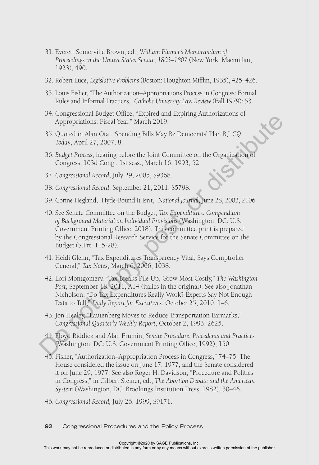- 31. Everett Somerville Brown, ed., *William Plumer's Memorandum of Proceedings in the United States Senate, 1803–1807* (New York: Macmillan, 1923), 490.
- 32. Robert Luce, *Legislative Problems* (Boston: Houghton Mifflin, 1935), 425–426.
- 33. Louis Fisher, "The Authorization–Appropriations Process in Congress: Formal Rules and Informal Practices," *Catholic University Law Review* (Fall 1979): 53.
- 34. Congressional Budget Office, "Expired and Expiring Authorizations of Appropriations: Fiscal Year," March 2019.
- 35. Quoted in Alan Ota, "Spending Bills May Be Democrats' Plan B," *CQ Today*, April 27, 2007, 8.
- 36. *Budget Process*, hearing before the Joint Committee on the Organization of Congress, 103d Cong., 1st sess., March 16, 1993, 52.
- 37. *Congressional Record*, July 29, 2005, S9368.
- 38. *Congressional Record*, September 21, 2011, S5798.
- 39. Corine Hegland, "Hyde-Bound It Isn't," *National Journal*, June 28, 2003, 2106.
- 40. See Senate Committee on the Budget, *Tax Expenditures: Compendium of Background Material on Individual Provisions* (Washington, DC: U.S. Government Printing Office, 2018). This committee print is prepared by the Congressional Research Service for the Senate Committee on the Budget (S.Prt. 115-28). 2.1. Congressional action Capital Back Capital Capital Capital Capital Appropriations: Fiscal Yeart, "Match 2019.<br>
35. Quoted in Alan Ota, "Spending Bills May Be Democrats" Plan B, "CQ<br>
76day, April 27, 2007, 8.<br>
36. Dange
	- 41. Heidi Glenn, "Tax Expenditures Transparency Vital, Says Comptroller General," *Tax Notes*, March 6, 2006, 1038.
	- 42. Lori Montgomery, "Tax Breaks Pile Up, Grow Most Costly," *The Washington Post*, September 18, 2011, A14 (italics in the original). See also Jonathan Nicholson, "Do Tax Expenditures Really Work? Experts Say Not Enough Data to Tell," *Daily Report for Executives*, October 25, 2010, 1–6.
	- 43. Jon Healey, "Lautenberg Moves to Reduce Transportation Earmarks," *Congressional Quarterly Weekly Report*, October 2, 1993, 2625.
	- 44. Floyd Riddick and Alan Frumin, *Senate Procedure: Precedents and Practices* (Washington, DC: U.S. Government Printing Office, 1992), 150.
	- 45. Fisher, "Authorization–Appropriation Process in Congress," 74–75. The House considered the issue on June 17, 1977, and the Senate considered it on June 29, 1977. See also Roger H. Davidson, "Procedure and Politics in Congress," in Gilbert Steiner, ed., *The Abortion Debate and the American System* (Washington, DC: Brookings Institution Press, 1982), 30–46.
	- 46. *Congressional Record,* July 26, 1999, S9171.

**92** Congressional Procedures and the Policy Process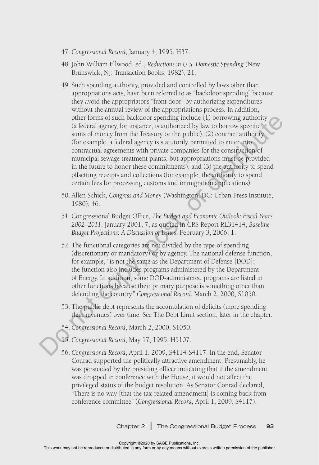- 47. *Congressional Record*, January 4, 1995, H37.
- 48. John William Ellwood, ed., *Reductions in U.S. Domestic Spending* (New Brunswick, NJ: Transaction Books, 1982), 21.
- 49. Such spending authority, provided and controlled by laws other than appropriations acts, have been referred to as "backdoor spending" because they avoid the appropriator's "front door" by authorizing expenditures without the annual review of the appropriations process. In addition, other forms of such backdoor spending include (1) borrowing authority (a federal agency, for instance, is authorized by law to borrow specific sums of money from the Treasury or the public), (2) contract authority (for example, a federal agency is statutorily permitted to enter into contractual agreements with private companies for the construction of municipal sewage treatment plants, but appropriations must be provided in the future to honor these commitments), and (3) the authority to spend offsetting receipts and collections (for example, the authority to spend certain fees for processing customs and immigration applications). other forms of such backdoor spending include (1) horrowing antithrity<br>(a federal agency, for instance, is authorized by law to borrow specific<br>sums of money from the Treasury or the public), (2) contract authority<br>(for e
	- 50. Allen Schick, *Congress and Money* (Washington, DC: Urban Press Institute, 1980), 46.
	- 51. Congressional Budget Office, *The Budget and Economic Outlook: Fiscal Years 2002–2011*, January 2001, 7, as quoted in CRS Report RL31414, *Baseline Budget Projections: A Discussion of Issues*, February 3, 2006, 1.
	- 52. The functional categories are not divided by the type of spending (discretionary or mandatory) or by agency. The national defense function, for example, "is not the same as the Department of Defense [DOD]; the function also includes programs administered by the Department of Energy. In addition, some DOD-administered programs are listed in other functions because their primary purpose is something other than defending the country." *Congressional Record*, March 2, 2000, S1050.
	- 53. The public debt represents the accumulation of deficits (more spending than revenues) over time. See The Debt Limit section, later in the chapter.
	- 54. *Congressional Record*, March 2, 2000, S1050.
	- 55. *Congressional Record*, May 17, 1995, H5107.
	- 56. *Congressional Record*, April 1, 2009, S4114-S4117. In the end, Senator Conrad supported the politically attractive amendment. Presumably, he was persuaded by the presiding officer indicating that if the amendment was dropped in conference with the House, it would not affect the privileged status of the budget resolution. As Senator Conrad declared, "There is no way [that the tax-related amendment] is coming back from conference committee" (*Congressional Record*, April 1, 2009, S4117).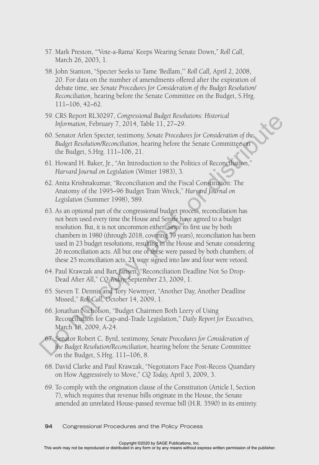- 57. Mark Preston, "'Vote-a-Rama' Keeps Wearing Senate Down," *Roll Call*, March 26, 2003, 1.
- 58. John Stanton, "Specter Seeks to Tame 'Bedlam,'" *Roll Call,* April 2, 2008, 20. For data on the number of amendments offered after the expiration of debate time, see *Senate Procedures for Consideration of the Budget Resolution/ Reconciliation*, hearing before the Senate Committee on the Budget, S.Hrg. 111–106, 42–62.
- 59. CRS Report RL30297, *Congressional Budget Resolutions: Historical Information*, February 7, 2014, Table 11, 27–29.
- 60. Senator Arlen Specter, testimony, *Senate Procedures for Consideration of the Budget Resolution/Reconciliation*, hearing before the Senate Committee on the Budget, S.Hrg. 111–106, 21.
- 61. Howard H. Baker, Jr., "An Introduction to the Politics of Reconciliation," *Harvard Journal on Legislation* (Winter 1983), 3.
- 62. Anita Krishnakumar, "Reconciliation and the Fiscal Constitution: The Anatomy of the 1995–96 Budget Train Wreck," *Harvard Journal on Legislation* (Summer 1998), 589.
- 63. As an optional part of the congressional budget process, reconciliation has not been used every time the House and Senate have agreed to a budget resolution. But, it is not uncommon either. Since its first use by both chambers in 1980 (through 2018, covering 39 years), reconciliation has been used in 23 budget resolutions, resulting in the House and Senate considering 26 reconciliation acts. All but one of these were passed by both chambers; of these 25 reconciliation acts, 21 were signed into law and four were vetoed. 39. Les keport KL30297, Longressional Budget Resoutions: Fisional Budget Resolution Rebruary 7, 2014, Table 11, 27-29.<br>
60. Senator Arlen Specter, testimony, Senate Procedures for Consideration of the Budget Resolution/Rec
	- 64. Paul Krawzak and Bart Jansen, "Reconciliation Deadline Not So Drop-Dead After All," *CQ Today,* September 23, 2009, 1.
	- 65. Steven T. Dennis and Tory Newmyer, "Another Day, Another Deadline Missed," *Roll Call,* October 14, 2009, 1.
	- 66. Jonathan Nicholson, "Budget Chairmen Both Leery of Using Reconciliation for Cap-and-Trade Legislation," *Daily Report for Executives,* March 18, 2009, A-24.
	- 67. Senator Robert C. Byrd, testimony, *Senate Procedures for Consideration of the Budget Resolution/Reconciliation*, hearing before the Senate Committee on the Budget, S.Hrg. 111–106, 8.
	- 68. David Clarke and Paul Krawzak, "Negotiators Face Post-Recess Quandary on How Aggressively to Move," *CQ Today,* April 3, 2009, 3.
	- 69. To comply with the origination clause of the Constitution (Article I, Section 7), which requires that revenue bills originate in the House, the Senate amended an unrelated House-passed revenue bill (H.R. 3590) in its entirety.
	- **94** Congressional Procedures and the Policy Process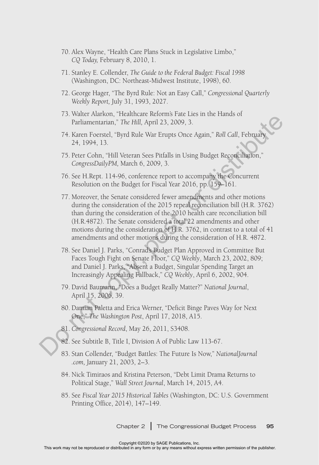- 70. Alex Wayne, "Health Care Plans Stuck in Legislative Limbo," *CQ Today,* February 8, 2010, 1.
- 71. Stanley E. Collender, *The Guide to the Federal Budget: Fiscal 1998* (Washington, DC: Northeast-Midwest Institute, 1998), 60.
- 72. George Hager, "The Byrd Rule: Not an Easy Call," *Congressional Quarterly Weekly Report,* July 31, 1993, 2027.
- 73. Walter Alarkon, "Healthcare Reform's Fate Lies in the Hands of Parliamentarian," *The Hill,* April 23, 2009, 3.
- 74. Karen Foerstel, "Byrd Rule War Erupts Once Again," *Roll Call*, Februar 24, 1994, 13.
- 75. Peter Cohn, "Hill Veteran Sees Pitfalls in Using Budget Reconciliation," *CongressDailyPM,* March 6, 2009, 3.
- 76. See H.Rept. 114-96, conference report to accompany the Concurrent Resolution on the Budget for Fiscal Year 2016, pp. 159–161.
- 77. Moreover, the Senate considered fewer amendments and other motions during the consideration of the 2015 repeal reconciliation bill (H.R. 3762) than during the consideration of the 2010 health care reconciliation bill (H.R.4872). The Senate considered a total 22 amendments and other motions during the consideration of H.R. 3762, in contrast to a total of 41 amendments and other motions during the consideration of H.R. 4872. 1.3. Watch Tankoui, "Icalinata recolours Fath Liss of Tankouis Fath Tankouis Fath Tankouis Path Report 2.3. 2009, 3.<br>
The Fath Postel, "Byrd Rule War Erupts Once Again," Roll Call, February<br>
24, 1994, 13.<br>
75. Feer Cohn, "
	- 78. See Daniel J. Parks, "Conrad's Budget Plan Approved in Committee But Faces Tough Fight on Senate Floor," *CQ Weekly*, March 23, 2002, 809; and Daniel J. Parks, "Absent a Budget, Singular Spending Target an Increasingly Appealing Fallback," *CQ Weekly*, April 6, 2002, 904.
	- 79. David Baumann, "Does a Budget Really Matter?" *National Journal*, April 15, 2006, 39.
	- 80. Damian Paletta and Erica Werner, "Deficit Binge Paves Way for Next One," *The Washington Post*, April 17, 2018, A15.
	- 81. *Congressional Record*, May 26, 2011, S3408.
	- 82. See Subtitle B, Title I, Division A of Public Law 113-67.
	- 83. Stan Collender, "Budget Battles: The Future Is Now," *NationalJournal .com,* January 21, 2003, 2–3.
	- 84. Nick Timiraos and Kristina Peterson, "Debt Limit Drama Returns to Political Stage," *Wall Street Journal*, March 14, 2015, A4.
	- 85. See *Fiscal Year 2015 Historical Tables* (Washington, DC: U.S. Government Printing Office, 2014), 147–149.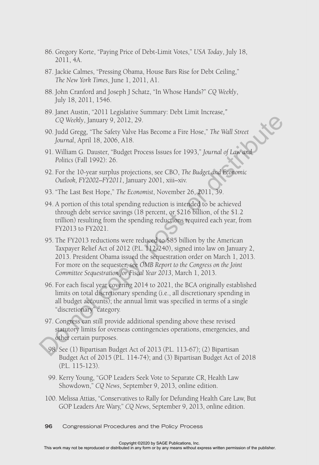- 86. Gregory Korte, "Paying Price of Debt-Limit Votes," *USA Today*, July 18, 2011, 4A.
- 87. Jackie Calmes, "Pressing Obama, House Bars Rise for Debt Ceiling," *The New York Times*, June 1, 2011, A1.
- 88. John Cranford and Joseph J Schatz, "In Whose Hands?" *CQ Weekly*, July 18, 2011, 1546.
- 89. Janet Austin, "2011 Legislative Summary: Debt Limit Increase*," CQ Weekly*, January 9, 2012, 29.
- 90. Judd Gregg, "The Safety Valve Has Become a Fire Hose," *The Wall Street Journal*, April 18, 2006, A18.
- 91. William G. Dauster, "Budget Process Issues for 1993," *Journal of Law and Politics* (Fall 1992): 26.
- 92. For the 10-year surplus projections, see CBO, *The Budget and Economic Outlook, FY2002–FY2011*, January 2001, xiii–xiv.
- 93. "The Last Best Hope," *The Economist*, November 26, 2011, 39.
- 94. A portion of this total spending reduction is intended to be achieved through debt service savings (18 percent, or \$216 billion, of the \$1.2 trillion) resulting from the spending reductions required each year, from FY2013 to FY2021.
- 95. The FY2013 reductions were reduced to \$85 billion by the American Taxpayer Relief Act of 2012 (P.L. 112-240), signed into law on January 2, 2013. President Obama issued the sequestration order on March 1, 2013. For more on the sequester, see *OMB Report to the Congress on the Joint Committee Sequestration for Fiscal Year 2013*, March 1, 2013. CQ Weekly, January 9, 2012, 29.<br>
90. Judd Gregg, "The Safety Valve Has Become a Fire Hose," The Wall Street<br>
Journal, April 18, 2006, A18.<br>
19. William G. Dauster, "Budget Process Issues for 1993," Journal of Law and<br>
1.
	- 96. For each fiscal year covering 2014 to 2021, the BCA originally established limits on total discretionary spending (i.e., all discretionary spending in all budget accounts); the annual limit was specified in terms of a single "discretionary" category.
	- 97. Congress can still provide additional spending above these revised statutory limits for overseas contingencies operations, emergencies, and other certain purposes.
	- 98. See (1) Bipartisan Budget Act of 2013 (P.L. 113-67); (2) Bipartisan Budget Act of 2015 (P.L. 114-74); and (3) Bipartisan Budget Act of 2018 (P.L. 115-123).
	- 99. Kerry Young, "GOP Leaders Seek Vote to Separate CR, Health Law Showdown," *CQ News*, September 9, 2013, online edition.
	- 100. Melissa Attias, "Conservatives to Rally for Defunding Health Care Law, But GOP Leaders Are Wary," *CQ News*, September 9, 2013, online edition.

**96** Congressional Procedures and the Policy Process